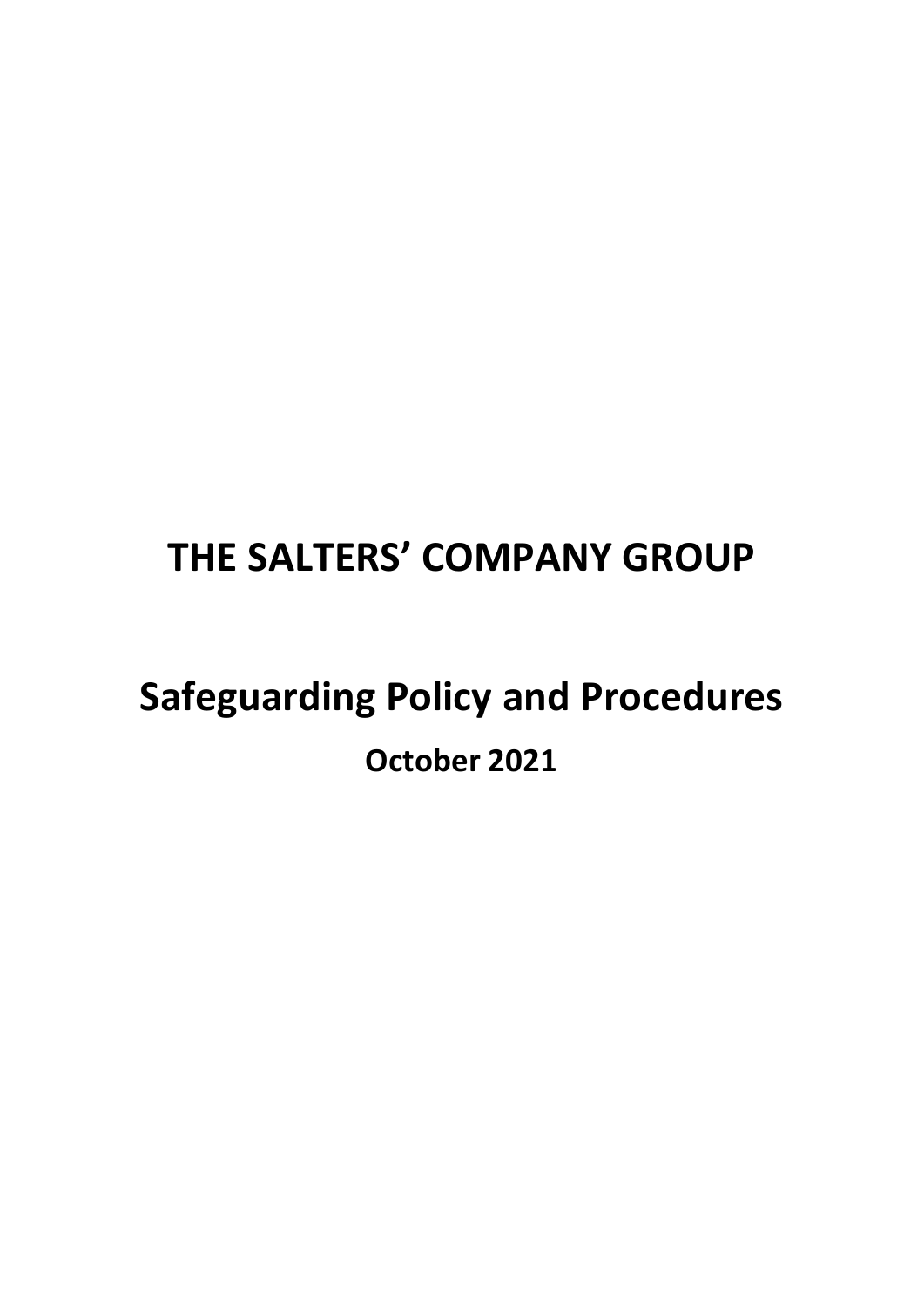# **THE SALTERS' COMPANY GROUP**

# **Safeguarding Policy and Procedures October 2021**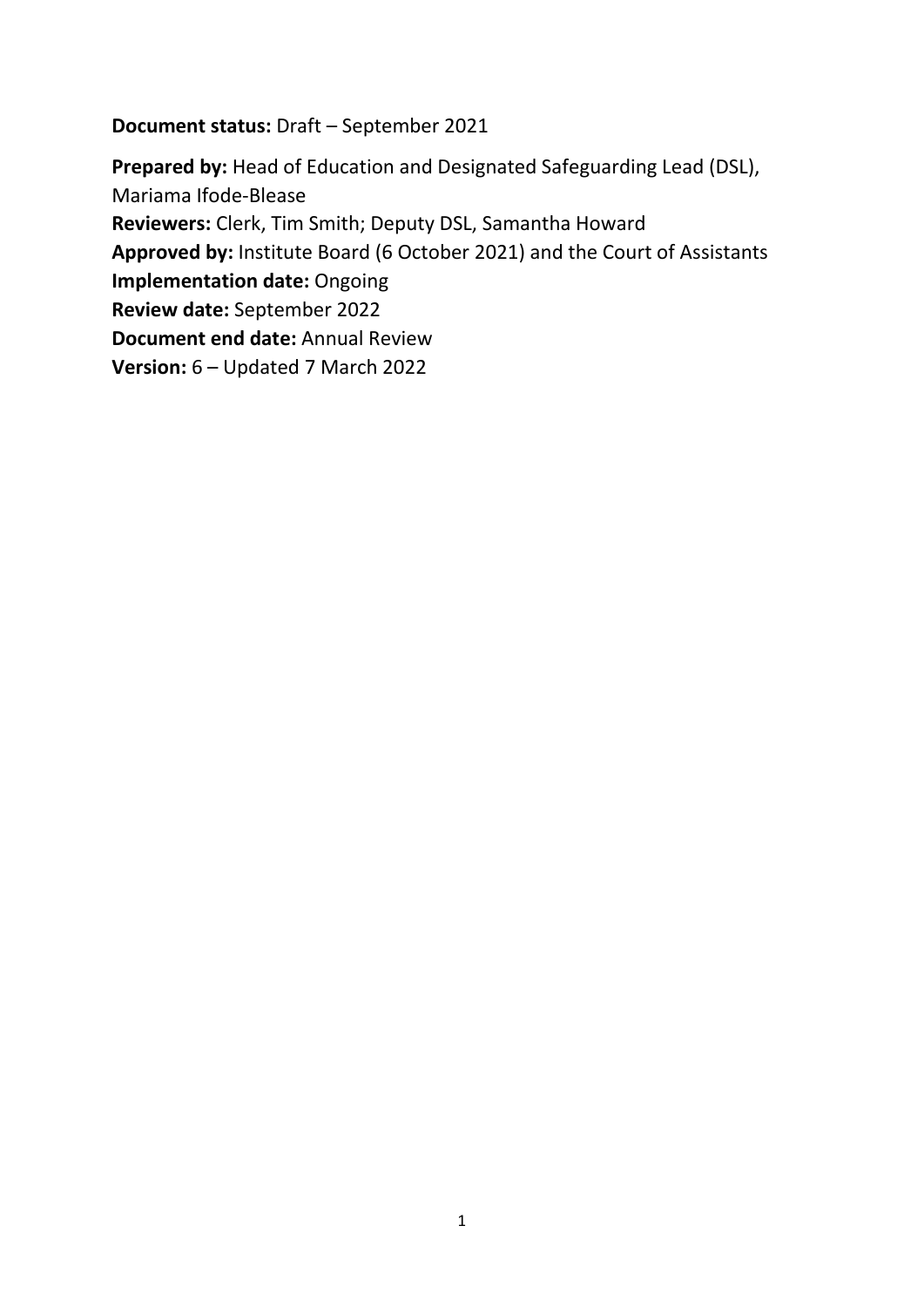**Document status:** Draft – September 2021

**Prepared by:** Head of Education and Designated Safeguarding Lead (DSL), Mariama Ifode-Blease **Reviewers:** Clerk, Tim Smith; Deputy DSL, Samantha Howard **Approved by:** Institute Board (6 October 2021) and the Court of Assistants **Implementation date:** Ongoing **Review date:** September 2022 **Document end date:** Annual Review **Version:** 6 – Updated 7 March 2022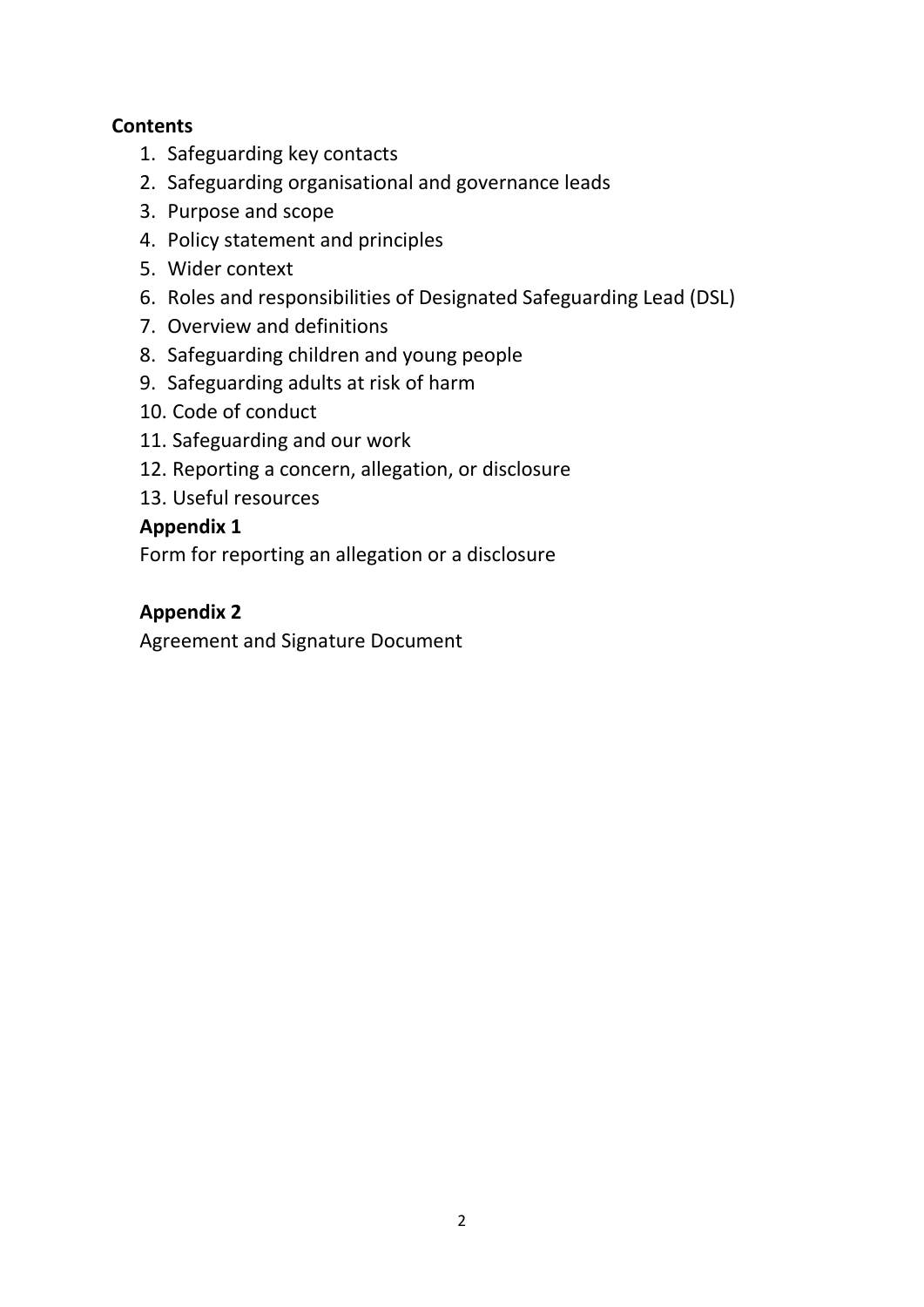## **Contents**

- 1. Safeguarding key contacts
- 2. Safeguarding organisational and governance leads
- 3. Purpose and scope
- 4. Policy statement and principles
- 5. Wider context
- 6. Roles and responsibilities of Designated Safeguarding Lead (DSL)
- 7. Overview and definitions
- 8. Safeguarding children and young people
- 9. Safeguarding adults at risk of harm
- 10. Code of conduct
- 11. Safeguarding and our work
- 12. Reporting a concern, allegation, or disclosure
- 13. Useful resources

## **Appendix 1**

Form for reporting an allegation or a disclosure

## **Appendix 2**

Agreement and Signature Document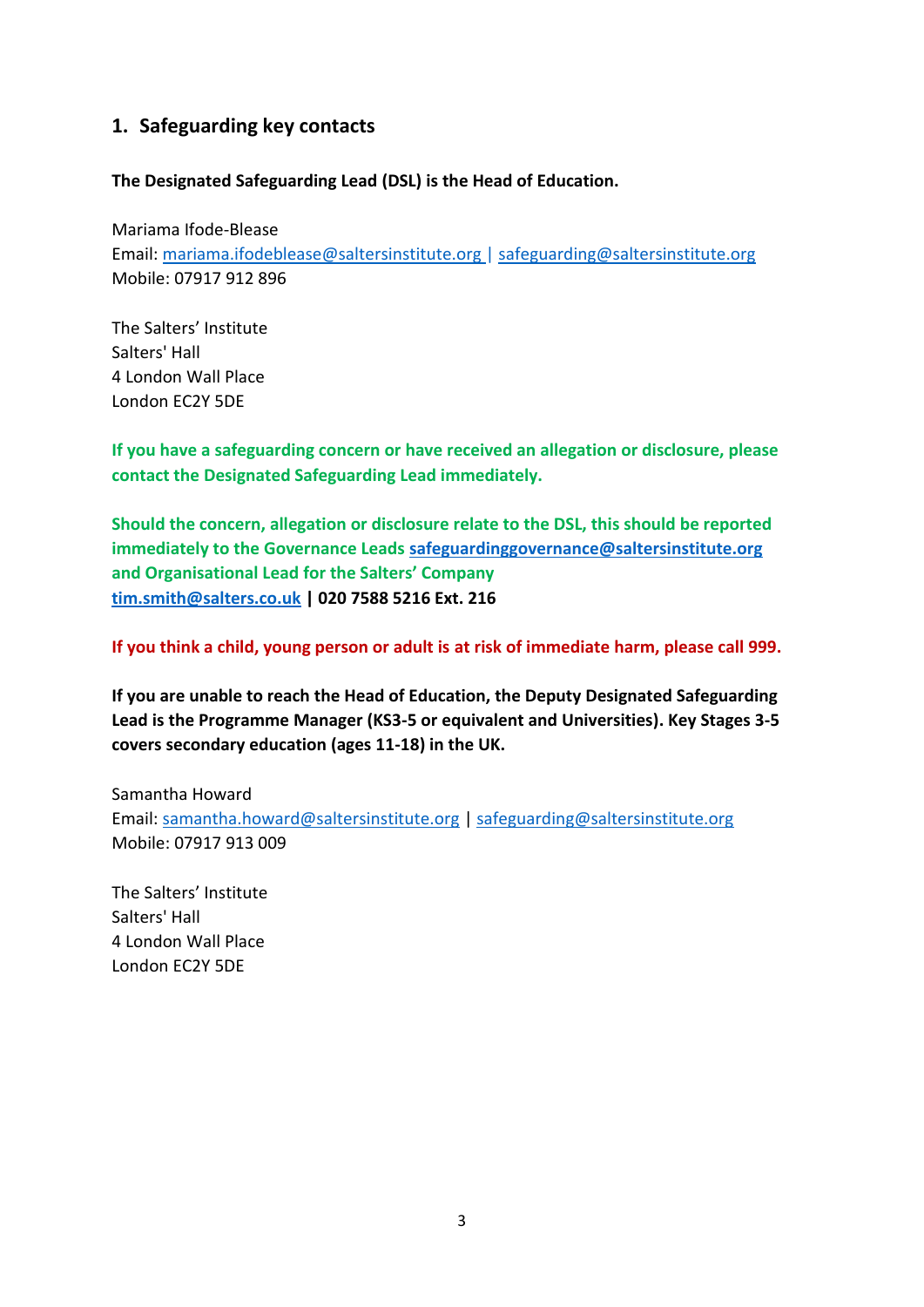### **1. Safeguarding key contacts**

#### **The Designated Safeguarding Lead (DSL) is the Head of Education.**

Mariama Ifode-Blease Email: mariama.ifodeblease@saltersinstitute.org | safeguarding@saltersinstitute.org Mobile: 07917 912 896

The Salters' Institute Salters' Hall 4 London Wall Place London EC2Y 5DE

**If you have a safeguarding concern or have received an allegation or disclosure, please contact the Designated Safeguarding Lead immediately.** 

**Should the concern, allegation or disclosure relate to the DSL, this should be reported immediately to the Governance Leads safeguardinggovernance@saltersinstitute.org and Organisational Lead for the Salters' Company [tim.smith@salters.co.uk](mailto:tim.smith@salters.co.uk) | 020 7588 5216 Ext. 216** 

**If you think a child, young person or adult is at risk of immediate harm, please call 999.**

**If you are unable to reach the Head of Education, the Deputy Designated Safeguarding Lead is the Programme Manager (KS3-5 or equivalent and Universities). Key Stages 3-5 covers secondary education (ages 11-18) in the UK.** 

Samantha Howard Email: samantha.howard@saltersinstitute.org | safeguarding@saltersinstitute.org Mobile: 07917 913 009

The Salters' Institute Salters' Hall 4 London Wall Place London EC2Y 5DE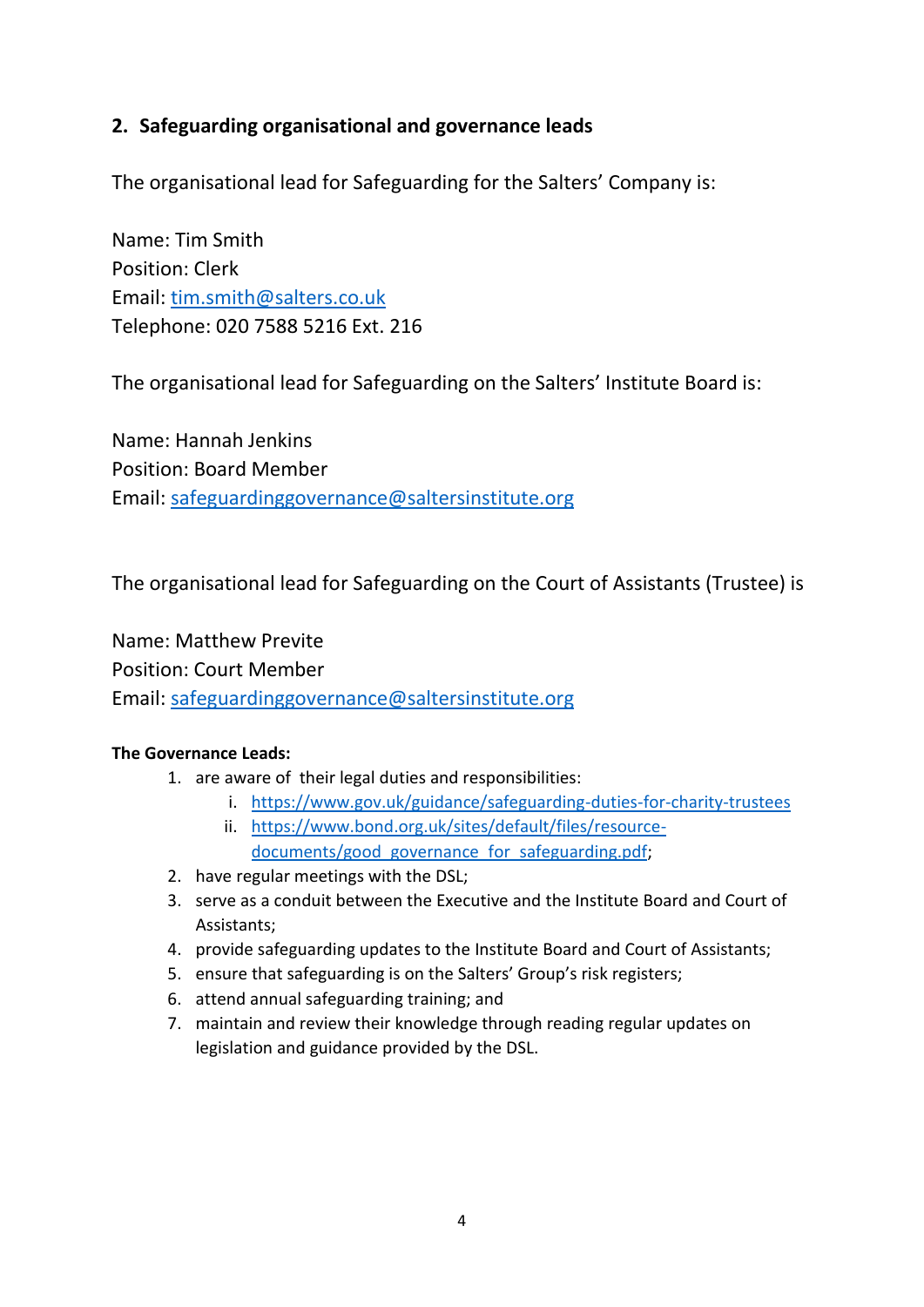## **2. Safeguarding organisational and governance leads**

The organisational lead for Safeguarding for the Salters' Company is:

Name: Tim Smith Position: Clerk Email: [tim.smith@salters.co.uk](mailto:tim.smith@salters.co.uk) Telephone: 020 7588 5216 Ext. 216

The organisational lead for Safeguarding on the Salters' Institute Board is:

Name: Hannah Jenkins Position: Board Member Email: safeguardinggovernance@saltersinstitute.org

The organisational lead for Safeguarding on the Court of Assistants (Trustee) is

Name: Matthew Previte Position: Court Member Email: safeguardinggovernance@saltersinstitute.org

#### **The Governance Leads:**

- 1. are aware of their legal duties and responsibilities:
	- i. <https://www.gov.uk/guidance/safeguarding-duties-for-charity-trustees>
	- ii. [https://www.bond.org.uk/sites/default/files/resource](https://www.bond.org.uk/sites/default/files/resource-documents/good_governance_for_safeguarding.pdf)[documents/good\\_governance\\_for\\_safeguarding.pdf;](https://www.bond.org.uk/sites/default/files/resource-documents/good_governance_for_safeguarding.pdf)
- 2. have regular meetings with the DSL;
- 3. serve as a conduit between the Executive and the Institute Board and Court of Assistants;
- 4. provide safeguarding updates to the Institute Board and Court of Assistants;
- 5. ensure that safeguarding is on the Salters' Group's risk registers;
- 6. attend annual safeguarding training; and
- 7. maintain and review their knowledge through reading regular updates on legislation and guidance provided by the DSL.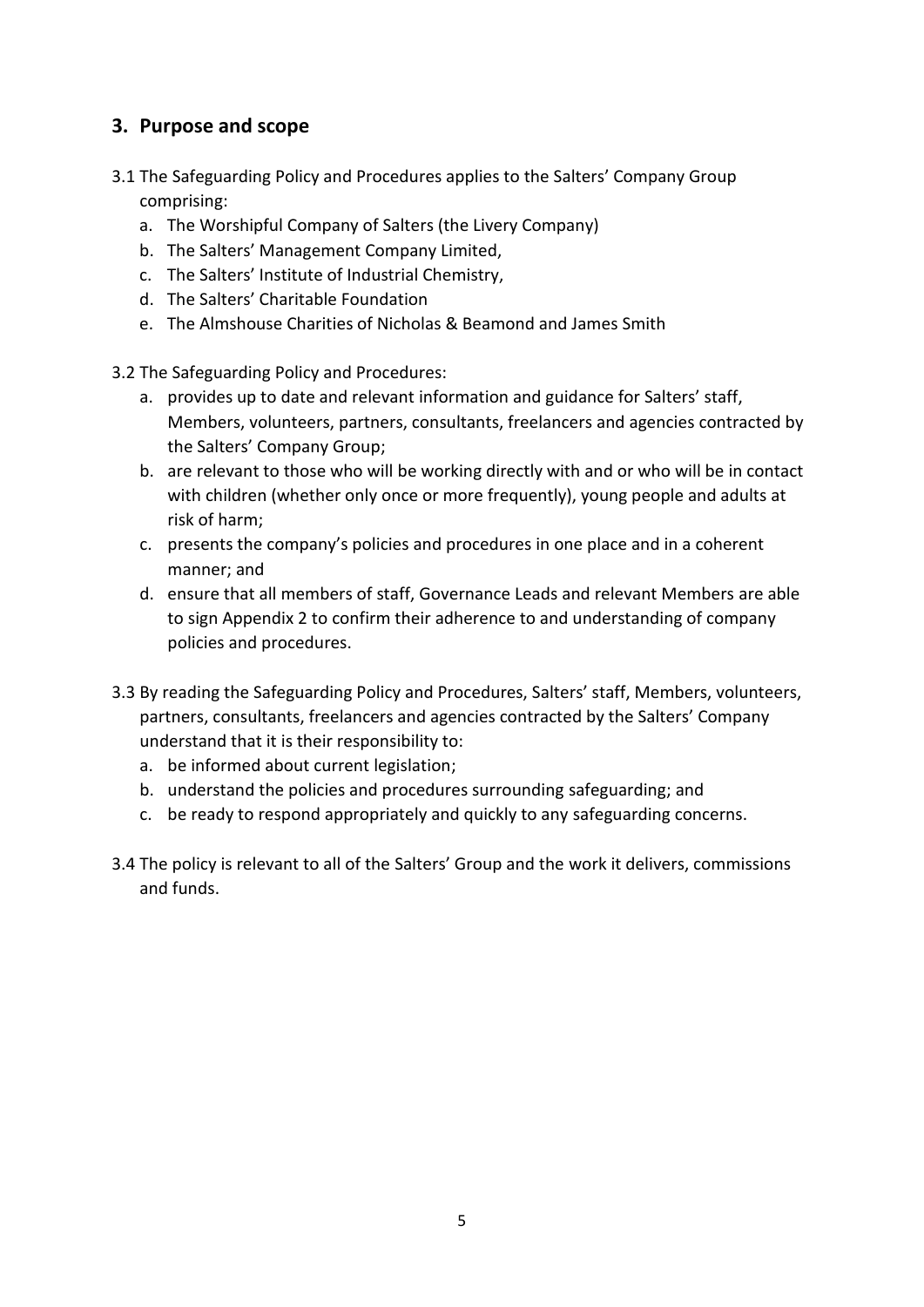## **3. Purpose and scope**

- 3.1 The Safeguarding Policy and Procedures applies to the Salters' Company Group comprising:
	- a. The Worshipful Company of Salters (the Livery Company)
	- b. The Salters' Management Company Limited,
	- c. The Salters' Institute of Industrial Chemistry,
	- d. The Salters' Charitable Foundation
	- e. The Almshouse Charities of Nicholas & Beamond and James Smith
- 3.2 The Safeguarding Policy and Procedures:
	- a. provides up to date and relevant information and guidance for Salters' staff, Members, volunteers, partners, consultants, freelancers and agencies contracted by the Salters' Company Group;
	- b. are relevant to those who will be working directly with and or who will be in contact with children (whether only once or more frequently), young people and adults at risk of harm;
	- c. presents the company's policies and procedures in one place and in a coherent manner; and
	- d. ensure that all members of staff, Governance Leads and relevant Members are able to sign Appendix 2 to confirm their adherence to and understanding of company policies and procedures.
- 3.3 By reading the Safeguarding Policy and Procedures, Salters' staff, Members, volunteers, partners, consultants, freelancers and agencies contracted by the Salters' Company understand that it is their responsibility to:
	- a. be informed about current legislation;
	- b. understand the policies and procedures surrounding safeguarding; and
	- c. be ready to respond appropriately and quickly to any safeguarding concerns.
- 3.4 The policy is relevant to all of the Salters' Group and the work it delivers, commissions and funds.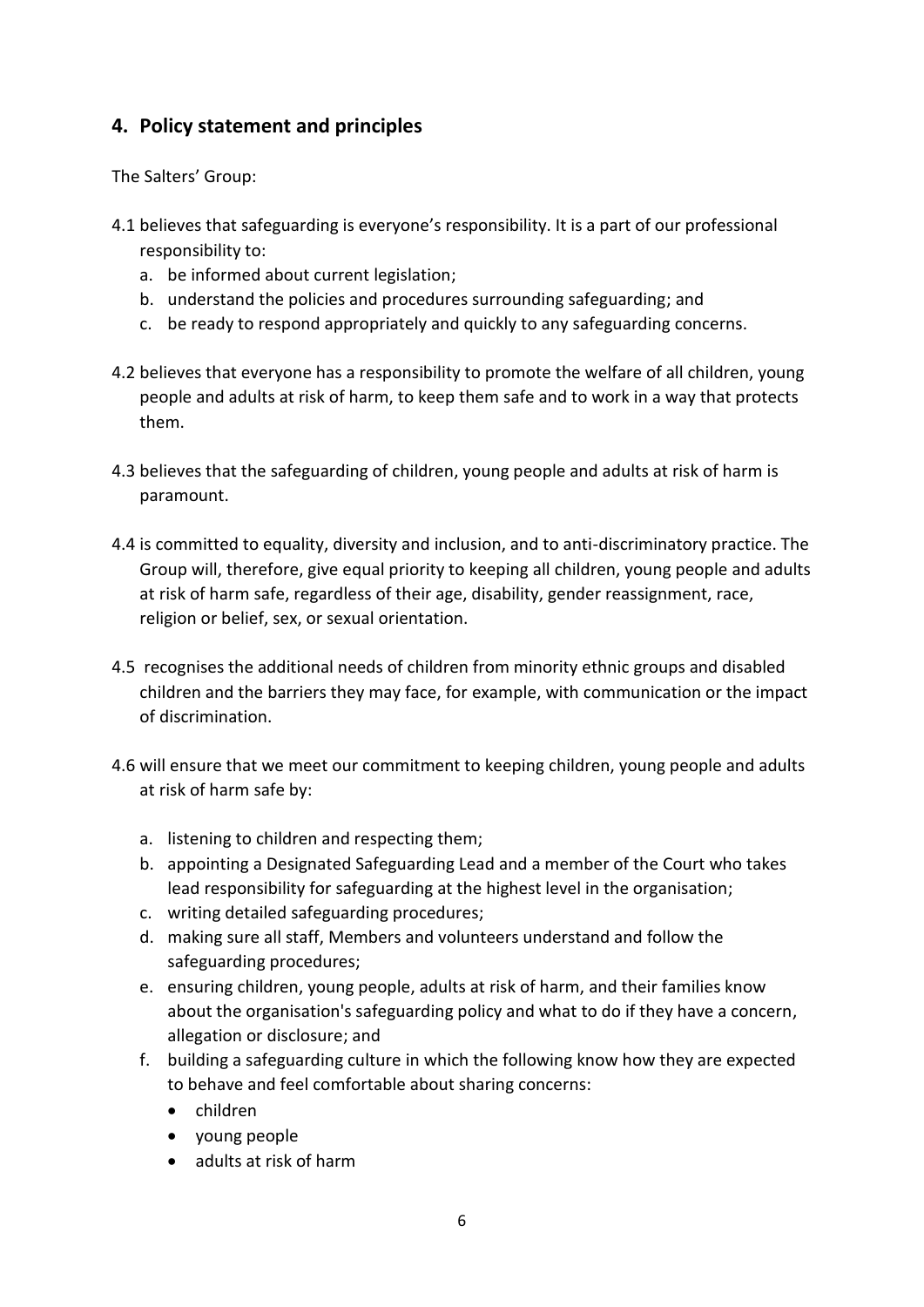## **4. Policy statement and principles**

The Salters' Group:

- 4.1 believes that safeguarding is everyone's responsibility. It is a part of our professional responsibility to:
	- a. be informed about current legislation;
	- b. understand the policies and procedures surrounding safeguarding; and
	- c. be ready to respond appropriately and quickly to any safeguarding concerns.
- 4.2 believes that everyone has a responsibility to promote the welfare of all children, young people and adults at risk of harm, to keep them safe and to work in a way that protects them.
- 4.3 believes that the safeguarding of children, young people and adults at risk of harm is paramount.
- 4.4 is committed to equality, diversity and inclusion, and to anti-discriminatory practice. The Group will, therefore, give equal priority to keeping all children, young people and adults at risk of harm safe, regardless of their age, disability, gender reassignment, race, religion or belief, sex, or sexual orientation.
- 4.5 recognises the additional needs of children from minority ethnic groups and disabled children and the barriers they may face, for example, with communication or the impact of discrimination.
- 4.6 will ensure that we meet our commitment to keeping children, young people and adults at risk of harm safe by:
	- a. listening to children and respecting them;
	- b. appointing a Designated Safeguarding Lead and a member of the Court who takes lead responsibility for safeguarding at the highest level in the organisation;
	- c. writing detailed safeguarding procedures;
	- d. making sure all staff, Members and volunteers understand and follow the safeguarding procedures;
	- e. ensuring children, young people, adults at risk of harm, and their families know about the organisation's safeguarding policy and what to do if they have a concern, allegation or disclosure; and
	- f. building a safeguarding culture in which the following know how they are expected to behave and feel comfortable about sharing concerns:
		- children
		- voung people
		- adults at risk of harm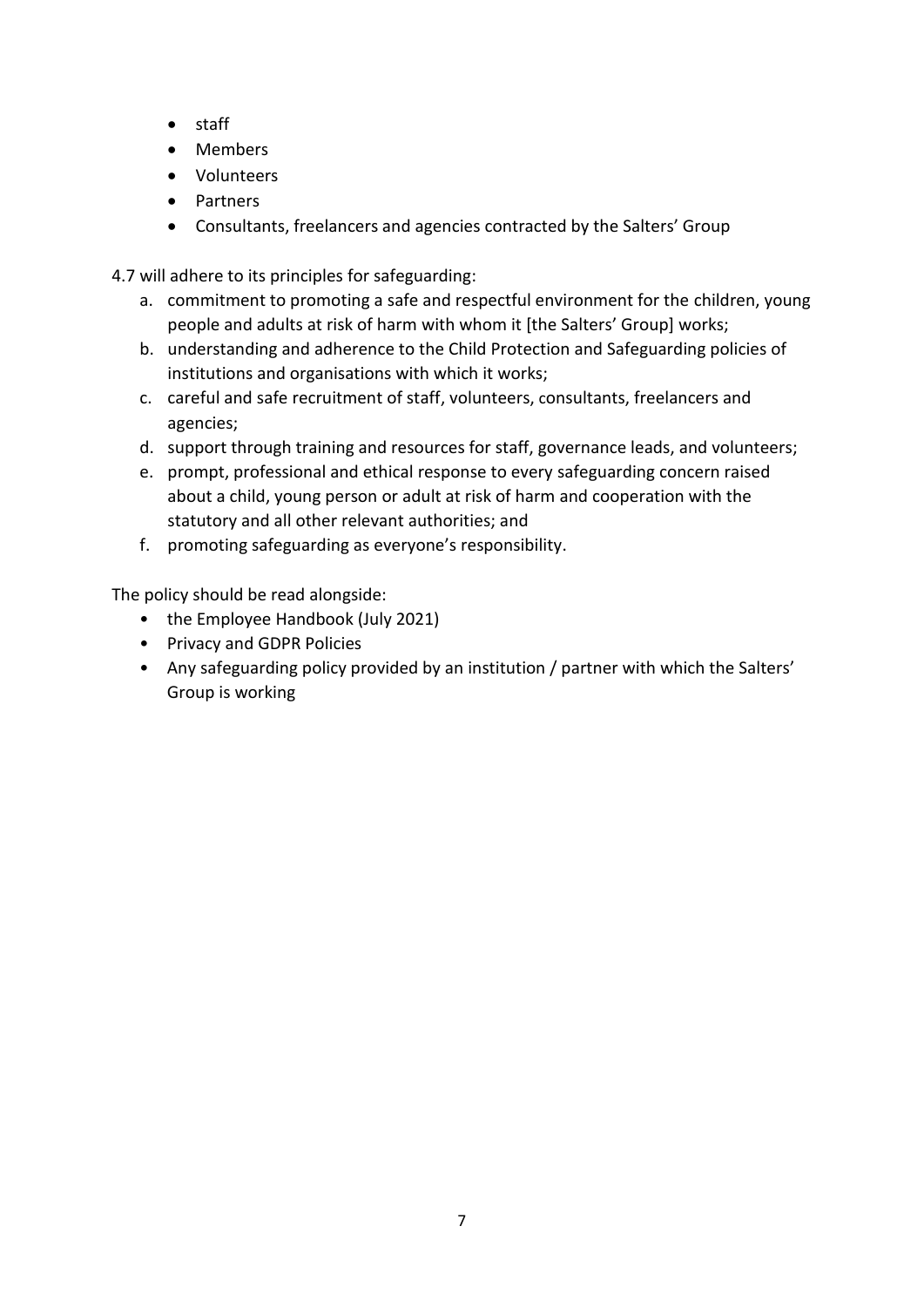- staff
- Members
- Volunteers
- **•** Partners
- Consultants, freelancers and agencies contracted by the Salters' Group

4.7 will adhere to its principles for safeguarding:

- a. commitment to promoting a safe and respectful environment for the children, young people and adults at risk of harm with whom it [the Salters' Group] works;
- b. understanding and adherence to the Child Protection and Safeguarding policies of institutions and organisations with which it works;
- c. careful and safe recruitment of staff, volunteers, consultants, freelancers and agencies;
- d. support through training and resources for staff, governance leads, and volunteers;
- e. prompt, professional and ethical response to every safeguarding concern raised about a child, young person or adult at risk of harm and cooperation with the statutory and all other relevant authorities; and
- f. promoting safeguarding as everyone's responsibility.

The policy should be read alongside:

- the Employee Handbook (July 2021)
- Privacy and GDPR Policies
- Any safeguarding policy provided by an institution / partner with which the Salters' Group is working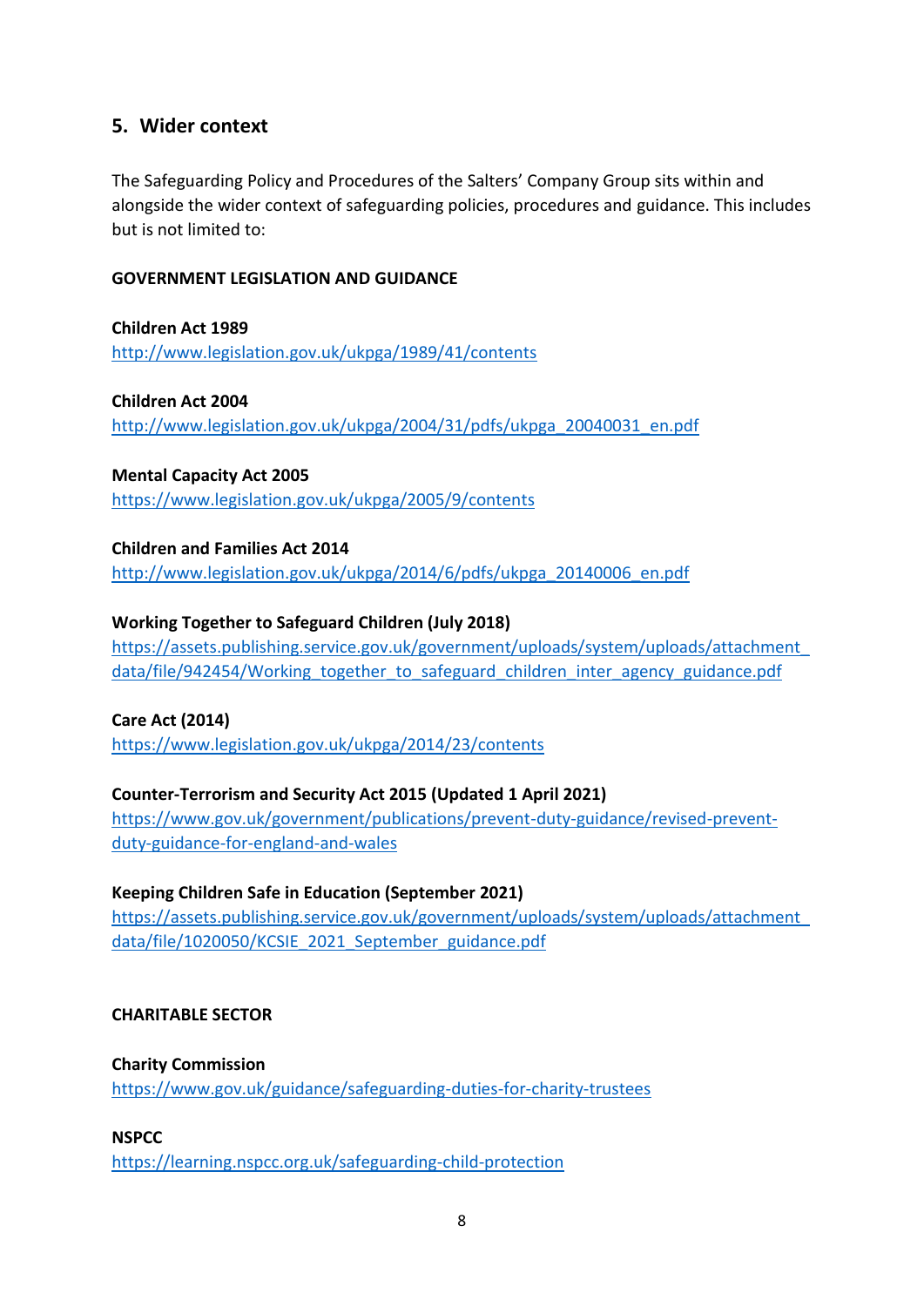#### **5. Wider context**

The Safeguarding Policy and Procedures of the Salters' Company Group sits within and alongside the wider context of safeguarding policies, procedures and guidance. This includes but is not limited to:

#### **GOVERNMENT LEGISLATION AND GUIDANCE**

**Children Act 1989** <http://www.legislation.gov.uk/ukpga/1989/41/contents>

**Children Act 2004** [http://www.legislation.gov.uk/ukpga/2004/31/pdfs/ukpga\\_20040031\\_en.pdf](http://www.legislation.gov.uk/ukpga/2004/31/pdfs/ukpga_20040031_en.pdf)

**Mental Capacity Act 2005** <https://www.legislation.gov.uk/ukpga/2005/9/contents>

**Children and Families Act 2014**  [http://www.legislation.gov.uk/ukpga/2014/6/pdfs/ukpga\\_20140006\\_en.pdf](http://www.legislation.gov.uk/ukpga/2014/6/pdfs/ukpga_20140006_en.pdf)

#### **Working Together to Safeguard Children (July 2018)**

[https://assets.publishing.service.gov.uk/government/uploads/system/uploads/attachment\\_](https://assets.publishing.service.gov.uk/government/uploads/system/uploads/attachment_data/file/942454/Working_together_to_safeguard_children_inter_agency_guidance.pdf) [data/file/942454/Working\\_together\\_to\\_safeguard\\_children\\_inter\\_agency\\_guidance.pdf](https://assets.publishing.service.gov.uk/government/uploads/system/uploads/attachment_data/file/942454/Working_together_to_safeguard_children_inter_agency_guidance.pdf)

**Care Act (2014)** <https://www.legislation.gov.uk/ukpga/2014/23/contents>

**Counter-Terrorism and Security Act 2015 (Updated 1 April 2021)** [https://www.gov.uk/government/publications/prevent-duty-guidance/revised-prevent-](https://www.gov.uk/government/publications/prevent-duty-guidance/revised-prevent-duty-guidance-for-england-and-wales)

[duty-guidance-for-england-and-wales](https://www.gov.uk/government/publications/prevent-duty-guidance/revised-prevent-duty-guidance-for-england-and-wales)

#### **Keeping Children Safe in Education (September 2021)**

[https://assets.publishing.service.gov.uk/government/uploads/system/uploads/attachment\\_](https://assets.publishing.service.gov.uk/government/uploads/system/uploads/attachment_data/file/1020050/KCSIE_2021_September_guidance.pdf) [data/file/1020050/KCSIE\\_2021\\_September\\_guidance.pdf](https://assets.publishing.service.gov.uk/government/uploads/system/uploads/attachment_data/file/1020050/KCSIE_2021_September_guidance.pdf)

#### **CHARITABLE SECTOR**

**Charity Commission**

<https://www.gov.uk/guidance/safeguarding-duties-for-charity-trustees>

**NSPCC**

<https://learning.nspcc.org.uk/safeguarding-child-protection>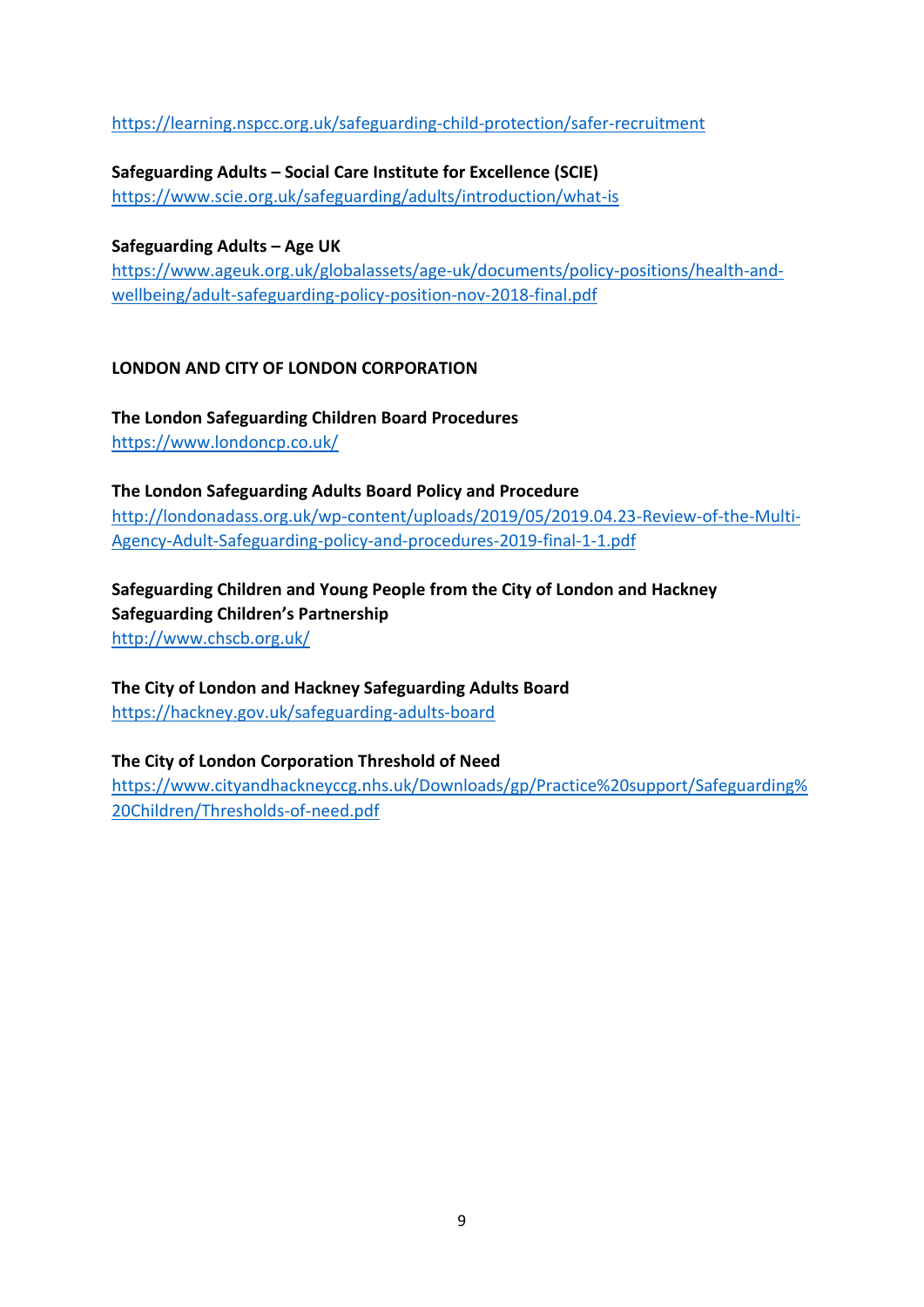<https://learning.nspcc.org.uk/safeguarding-child-protection/safer-recruitment>

**Safeguarding Adults – Social Care Institute for Excellence (SCIE)** <https://www.scie.org.uk/safeguarding/adults/introduction/what-is>

**Safeguarding Adults – Age UK** [https://www.ageuk.org.uk/globalassets/age-uk/documents/policy-positions/health-and](https://www.ageuk.org.uk/globalassets/age-uk/documents/policy-positions/health-and-wellbeing/adult-safeguarding-policy-position-nov-2018-final.pdf)[wellbeing/adult-safeguarding-policy-position-nov-2018-final.pdf](https://www.ageuk.org.uk/globalassets/age-uk/documents/policy-positions/health-and-wellbeing/adult-safeguarding-policy-position-nov-2018-final.pdf)

#### **LONDON AND CITY OF LONDON CORPORATION**

**The London Safeguarding Children Board Procedures** <https://www.londoncp.co.uk/>

**The London Safeguarding Adults Board Policy and Procedure**  [http://londonadass.org.uk/wp-content/uploads/2019/05/2019.04.23-Review-of-the-Multi-](http://londonadass.org.uk/wp-content/uploads/2019/05/2019.04.23-Review-of-the-Multi-Agency-Adult-Safeguarding-policy-and-procedures-2019-final-1-1.pdf)[Agency-Adult-Safeguarding-policy-and-procedures-2019-final-1-1.pdf](http://londonadass.org.uk/wp-content/uploads/2019/05/2019.04.23-Review-of-the-Multi-Agency-Adult-Safeguarding-policy-and-procedures-2019-final-1-1.pdf)

**Safeguarding Children and Young People from the City of London and Hackney Safeguarding Children's Partnership** <http://www.chscb.org.uk/>

**The City of London and Hackney Safeguarding Adults Board**  <https://hackney.gov.uk/safeguarding-adults-board>

**The City of London Corporation Threshold of Need** [https://www.cityandhackneyccg.nhs.uk/Downloads/gp/Practice%20support/Safeguarding%](https://www.cityandhackneyccg.nhs.uk/Downloads/gp/Practice%20support/Safeguarding%20Children/Thresholds-of-need.pdf) [20Children/Thresholds-of-need.pdf](https://www.cityandhackneyccg.nhs.uk/Downloads/gp/Practice%20support/Safeguarding%20Children/Thresholds-of-need.pdf)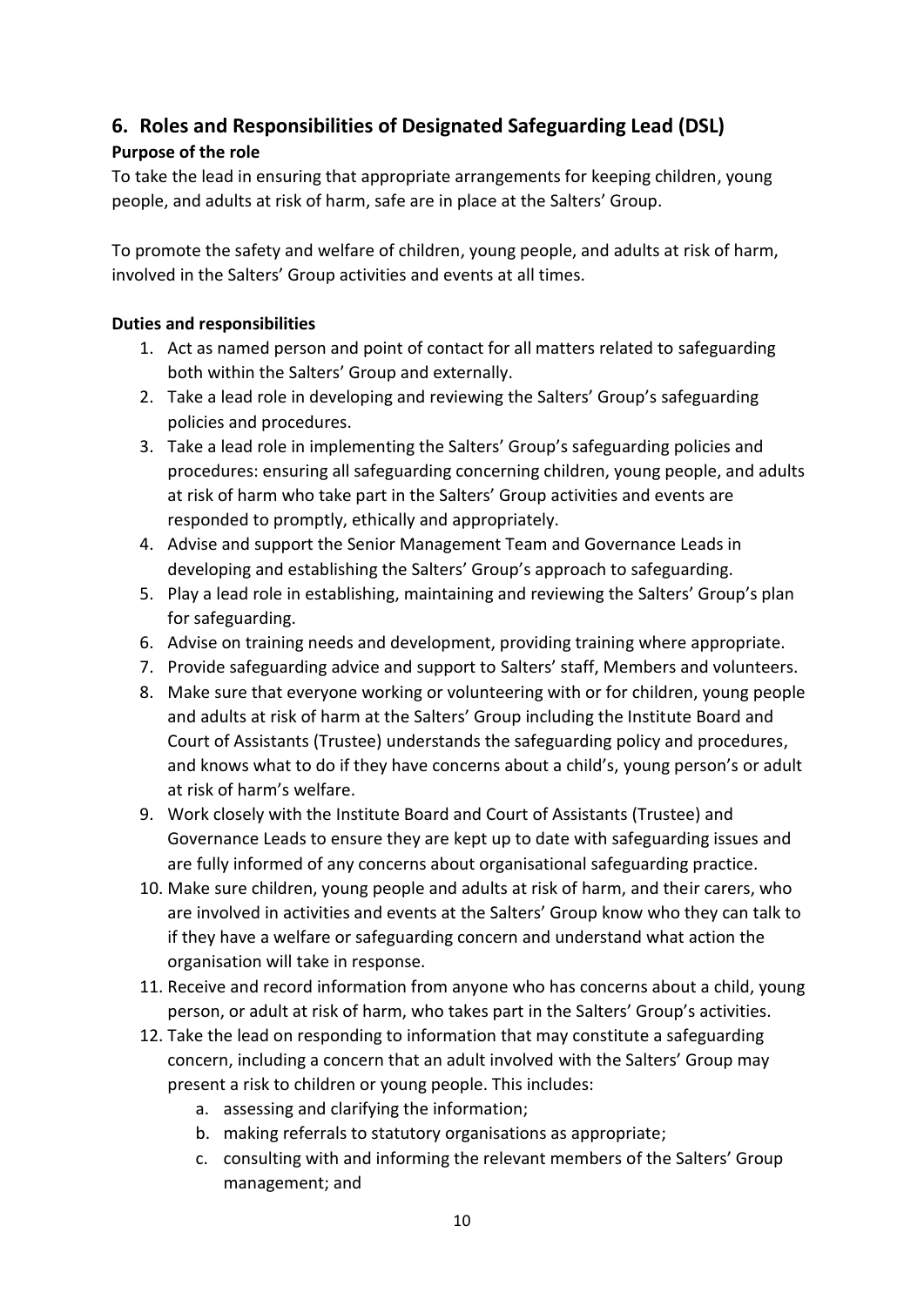## **6. Roles and Responsibilities of Designated Safeguarding Lead (DSL)**

#### **Purpose of the role**

To take the lead in ensuring that appropriate arrangements for keeping children, young people, and adults at risk of harm, safe are in place at the Salters' Group.

To promote the safety and welfare of children, young people, and adults at risk of harm, involved in the Salters' Group activities and events at all times.

#### **Duties and responsibilities**

- 1. Act as named person and point of contact for all matters related to safeguarding both within the Salters' Group and externally.
- 2. Take a lead role in developing and reviewing the Salters' Group's safeguarding policies and procedures.
- 3. Take a lead role in implementing the Salters' Group's safeguarding policies and procedures: ensuring all safeguarding concerning children, young people, and adults at risk of harm who take part in the Salters' Group activities and events are responded to promptly, ethically and appropriately.
- 4. Advise and support the Senior Management Team and Governance Leads in developing and establishing the Salters' Group's approach to safeguarding.
- 5. Play a lead role in establishing, maintaining and reviewing the Salters' Group's plan for safeguarding.
- 6. Advise on training needs and development, providing training where appropriate.
- 7. Provide safeguarding advice and support to Salters' staff, Members and volunteers.
- 8. Make sure that everyone working or volunteering with or for children, young people and adults at risk of harm at the Salters' Group including the Institute Board and Court of Assistants (Trustee) understands the safeguarding policy and procedures, and knows what to do if they have concerns about a child's, young person's or adult at risk of harm's welfare.
- 9. Work closely with the Institute Board and Court of Assistants (Trustee) and Governance Leads to ensure they are kept up to date with safeguarding issues and are fully informed of any concerns about organisational safeguarding practice.
- 10. Make sure children, young people and adults at risk of harm, and their carers, who are involved in activities and events at the Salters' Group know who they can talk to if they have a welfare or safeguarding concern and understand what action the organisation will take in response.
- 11. Receive and record information from anyone who has concerns about a child, young person, or adult at risk of harm, who takes part in the Salters' Group's activities.
- 12. Take the lead on responding to information that may constitute a safeguarding concern, including a concern that an adult involved with the Salters' Group may present a risk to children or young people. This includes:
	- a. assessing and clarifying the information;
	- b. making referrals to statutory organisations as appropriate;
	- c. consulting with and informing the relevant members of the Salters' Group management; and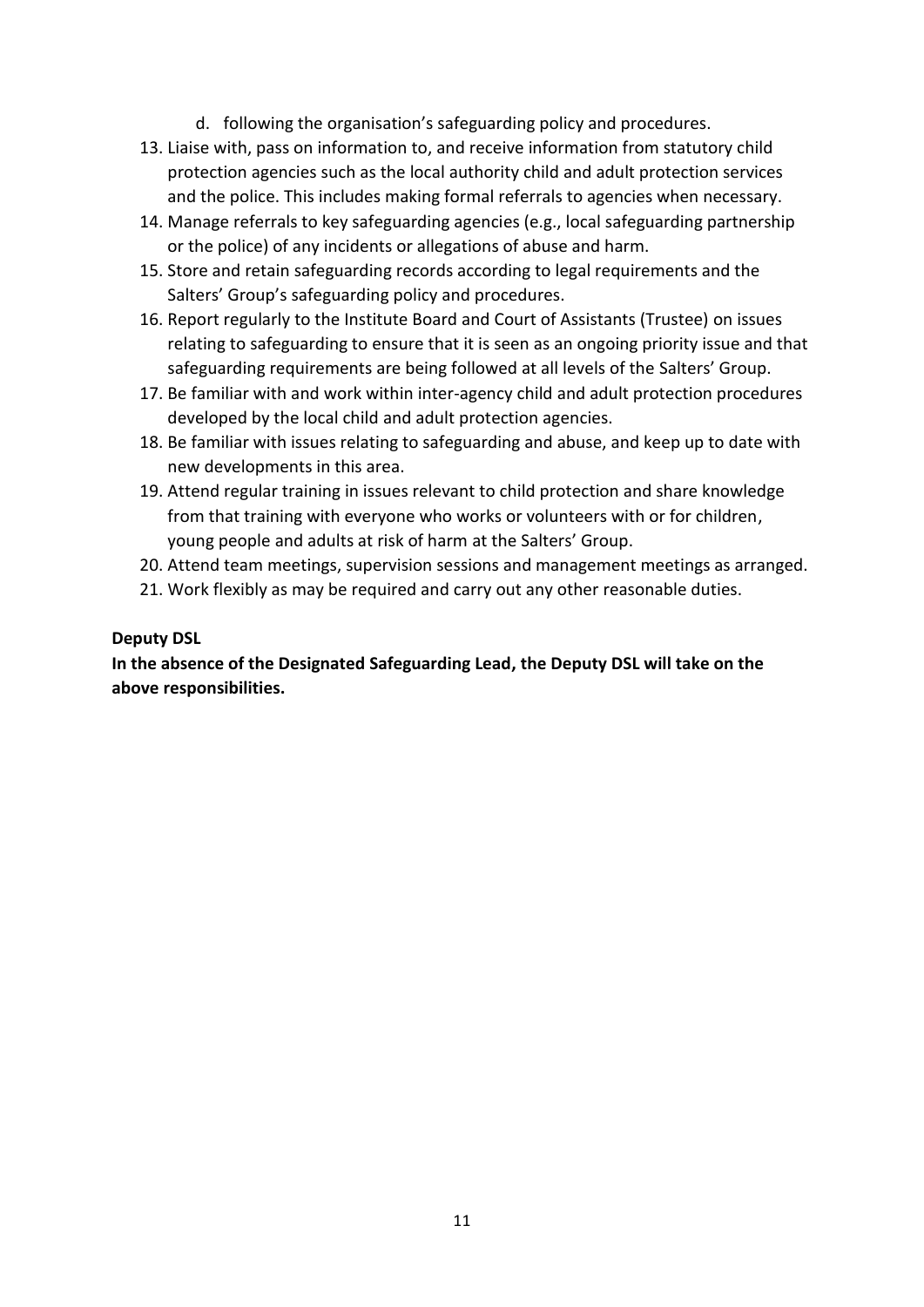- d. following the organisation's safeguarding policy and procedures.
- 13. Liaise with, pass on information to, and receive information from statutory child protection agencies such as the local authority child and adult protection services and the police. This includes making formal referrals to agencies when necessary.
- 14. Manage referrals to key safeguarding agencies (e.g., local safeguarding partnership or the police) of any incidents or allegations of abuse and harm.
- 15. Store and retain safeguarding records according to legal requirements and the Salters' Group's safeguarding policy and procedures.
- 16. Report regularly to the Institute Board and Court of Assistants (Trustee) on issues relating to safeguarding to ensure that it is seen as an ongoing priority issue and that safeguarding requirements are being followed at all levels of the Salters' Group.
- 17. Be familiar with and work within inter-agency child and adult protection procedures developed by the local child and adult protection agencies.
- 18. Be familiar with issues relating to safeguarding and abuse, and keep up to date with new developments in this area.
- 19. Attend regular training in issues relevant to child protection and share knowledge from that training with everyone who works or volunteers with or for children, young people and adults at risk of harm at the Salters' Group.
- 20. Attend team meetings, supervision sessions and management meetings as arranged.
- 21. Work flexibly as may be required and carry out any other reasonable duties.

#### **Deputy DSL**

**In the absence of the Designated Safeguarding Lead, the Deputy DSL will take on the above responsibilities.**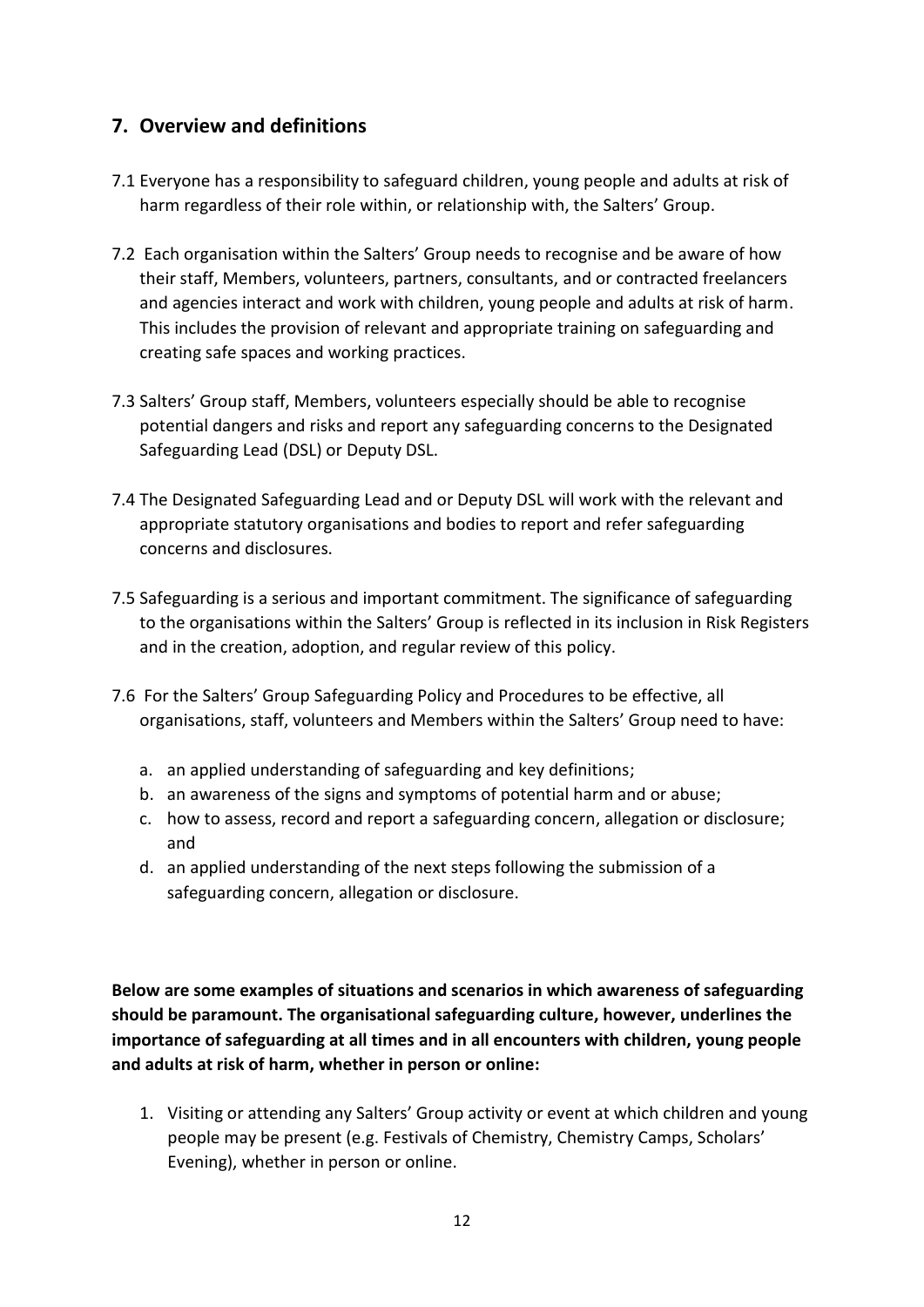## **7. Overview and definitions**

- 7.1 Everyone has a responsibility to safeguard children, young people and adults at risk of harm regardless of their role within, or relationship with, the Salters' Group.
- 7.2 Each organisation within the Salters' Group needs to recognise and be aware of how their staff, Members, volunteers, partners, consultants, and or contracted freelancers and agencies interact and work with children, young people and adults at risk of harm. This includes the provision of relevant and appropriate training on safeguarding and creating safe spaces and working practices.
- 7.3 Salters' Group staff, Members, volunteers especially should be able to recognise potential dangers and risks and report any safeguarding concerns to the Designated Safeguarding Lead (DSL) or Deputy DSL.
- 7.4 The Designated Safeguarding Lead and or Deputy DSL will work with the relevant and appropriate statutory organisations and bodies to report and refer safeguarding concerns and disclosures.
- 7.5 Safeguarding is a serious and important commitment. The significance of safeguarding to the organisations within the Salters' Group is reflected in its inclusion in Risk Registers and in the creation, adoption, and regular review of this policy.
- 7.6 For the Salters' Group Safeguarding Policy and Procedures to be effective, all organisations, staff, volunteers and Members within the Salters' Group need to have:
	- a. an applied understanding of safeguarding and key definitions;
	- b. an awareness of the signs and symptoms of potential harm and or abuse;
	- c. how to assess, record and report a safeguarding concern, allegation or disclosure; and
	- d. an applied understanding of the next steps following the submission of a safeguarding concern, allegation or disclosure.

**Below are some examples of situations and scenarios in which awareness of safeguarding should be paramount. The organisational safeguarding culture, however, underlines the importance of safeguarding at all times and in all encounters with children, young people and adults at risk of harm, whether in person or online:**

1. Visiting or attending any Salters' Group activity or event at which children and young people may be present (e.g. Festivals of Chemistry, Chemistry Camps, Scholars' Evening), whether in person or online.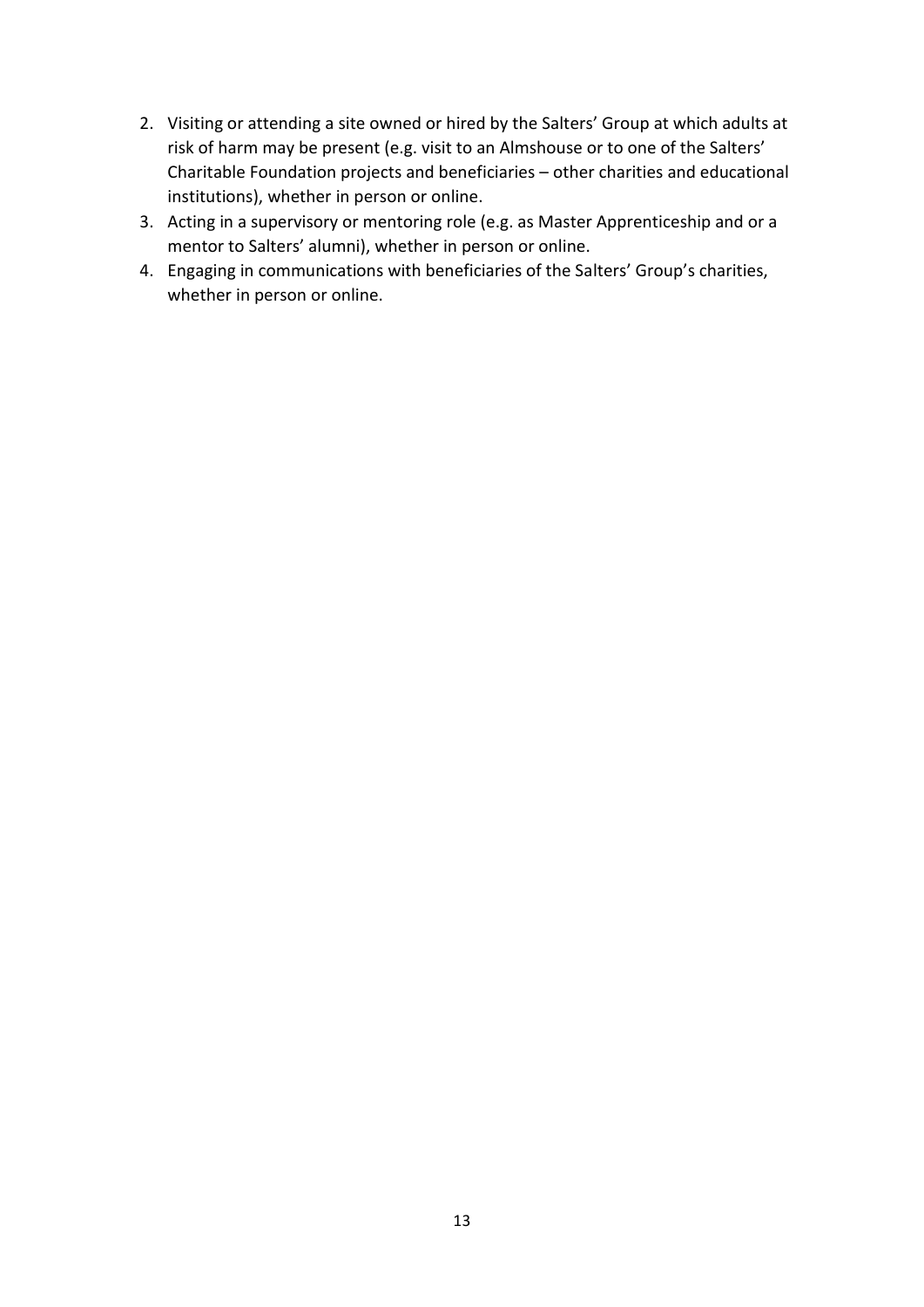- 2. Visiting or attending a site owned or hired by the Salters' Group at which adults at risk of harm may be present (e.g. visit to an Almshouse or to one of the Salters' Charitable Foundation projects and beneficiaries – other charities and educational institutions), whether in person or online.
- 3. Acting in a supervisory or mentoring role (e.g. as Master Apprenticeship and or a mentor to Salters' alumni), whether in person or online.
- 4. Engaging in communications with beneficiaries of the Salters' Group's charities, whether in person or online.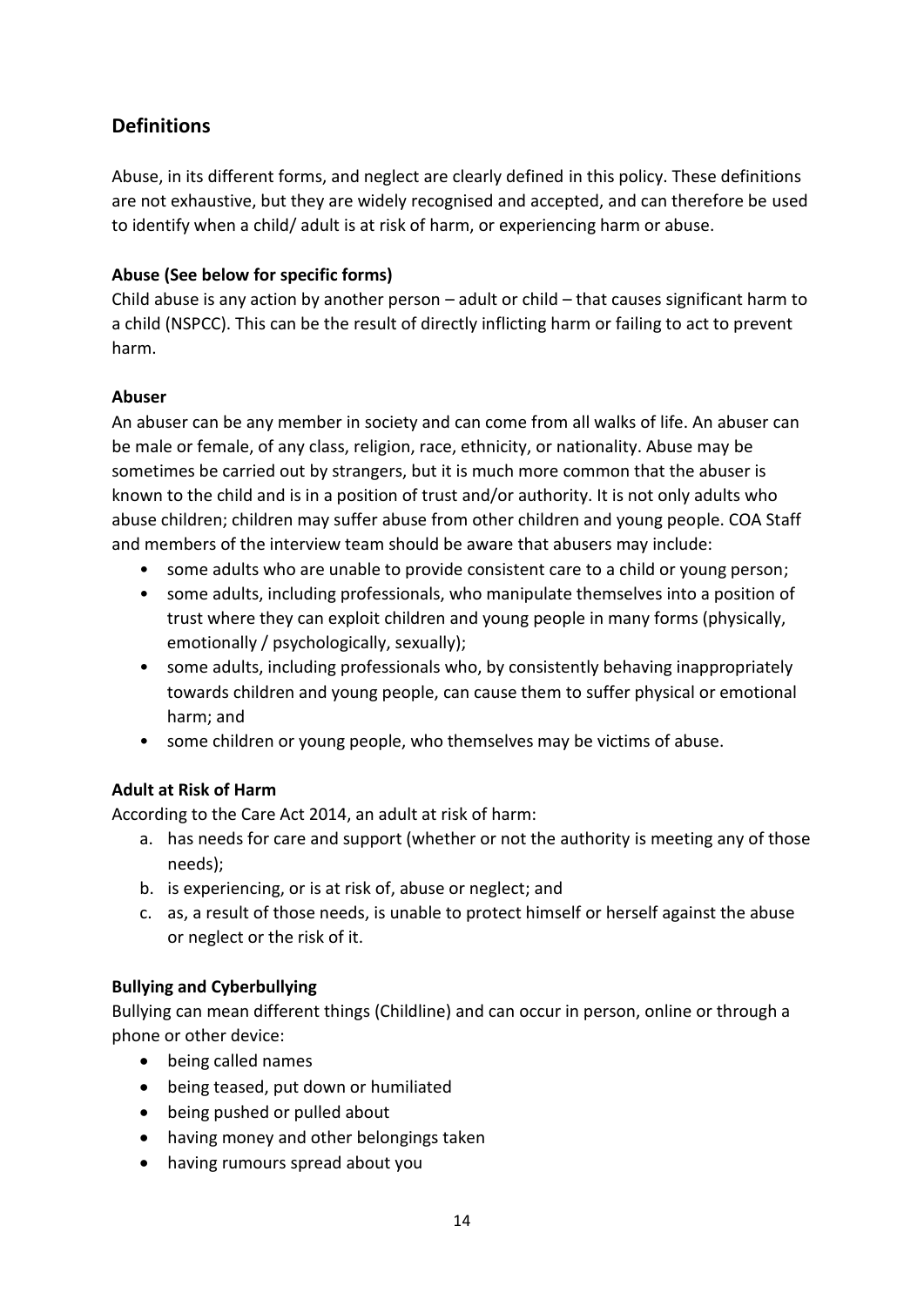## **Definitions**

Abuse, in its different forms, and neglect are clearly defined in this policy. These definitions are not exhaustive, but they are widely recognised and accepted, and can therefore be used to identify when a child/ adult is at risk of harm, or experiencing harm or abuse.

#### **Abuse (See below for specific forms)**

Child abuse is any action by another person – adult or child – that causes significant harm to a child (NSPCC). This can be the result of directly inflicting harm or failing to act to prevent harm.

#### **Abuser**

An abuser can be any member in society and can come from all walks of life. An abuser can be male or female, of any class, religion, race, ethnicity, or nationality. Abuse may be sometimes be carried out by strangers, but it is much more common that the abuser is known to the child and is in a position of trust and/or authority. It is not only adults who abuse children; children may suffer abuse from other children and young people. COA Staff and members of the interview team should be aware that abusers may include:

- some adults who are unable to provide consistent care to a child or young person;
- some adults, including professionals, who manipulate themselves into a position of trust where they can exploit children and young people in many forms (physically, emotionally / psychologically, sexually);
- some adults, including professionals who, by consistently behaving inappropriately towards children and young people, can cause them to suffer physical or emotional harm; and
- some children or young people, who themselves may be victims of abuse.

#### **Adult at Risk of Harm**

According to the Care Act 2014, an adult at risk of harm:

- a. has needs for care and support (whether or not the authority is meeting any of those needs);
- b. is experiencing, or is at risk of, abuse or neglect; and
- c. as, a result of those needs, is unable to protect himself or herself against the abuse or neglect or the risk of it.

#### **Bullying and Cyberbullying**

Bullying can mean different things (Childline) and can occur in person, online or through a phone or other device:

- being called names
- being teased, put down or humiliated
- being pushed or pulled about
- having money and other belongings taken
- having rumours spread about you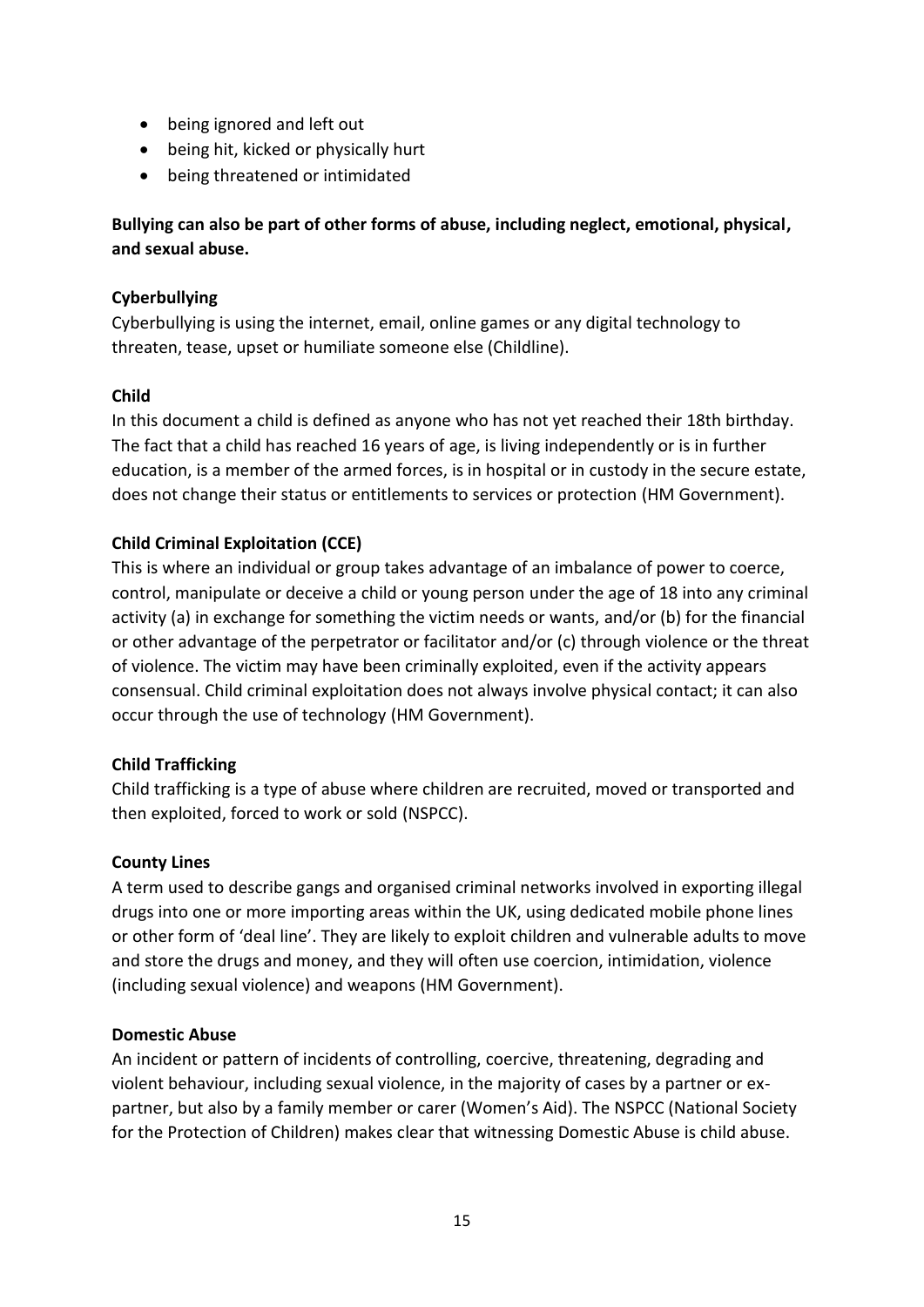- being ignored and left out
- being hit, kicked or physically hurt
- being threatened or intimidated

**Bullying can also be part of other forms of abuse, including neglect, emotional, physical, and sexual abuse.**

#### **Cyberbullying**

Cyberbullying is using the internet, email, online games or any digital technology to threaten, tease, upset or humiliate someone else (Childline).

#### **Child**

In this document a child is defined as anyone who has not yet reached their 18th birthday. The fact that a child has reached 16 years of age, is living independently or is in further education, is a member of the armed forces, is in hospital or in custody in the secure estate, does not change their status or entitlements to services or protection (HM Government).

#### **Child Criminal Exploitation (CCE)**

This is where an individual or group takes advantage of an imbalance of power to coerce, control, manipulate or deceive a child or young person under the age of 18 into any criminal activity (a) in exchange for something the victim needs or wants, and/or (b) for the financial or other advantage of the perpetrator or facilitator and/or (c) through violence or the threat of violence. The victim may have been criminally exploited, even if the activity appears consensual. Child criminal exploitation does not always involve physical contact; it can also occur through the use of technology (HM Government).

#### **Child Trafficking**

Child trafficking is a type of abuse where children are recruited, moved or transported and then exploited, forced to work or sold (NSPCC).

#### **County Lines**

A term used to describe gangs and organised criminal networks involved in exporting illegal drugs into one or more importing areas within the UK, using dedicated mobile phone lines or other form of 'deal line'. They are likely to exploit children and vulnerable adults to move and store the drugs and money, and they will often use coercion, intimidation, violence (including sexual violence) and weapons (HM Government).

#### **Domestic Abuse**

An incident or pattern of incidents of controlling, coercive, threatening, degrading and violent behaviour, including sexual violence, in the majority of cases by a partner or expartner, but also by a family member or carer (Women's Aid). The NSPCC (National Society for the Protection of Children) makes clear that witnessing Domestic Abuse is child abuse.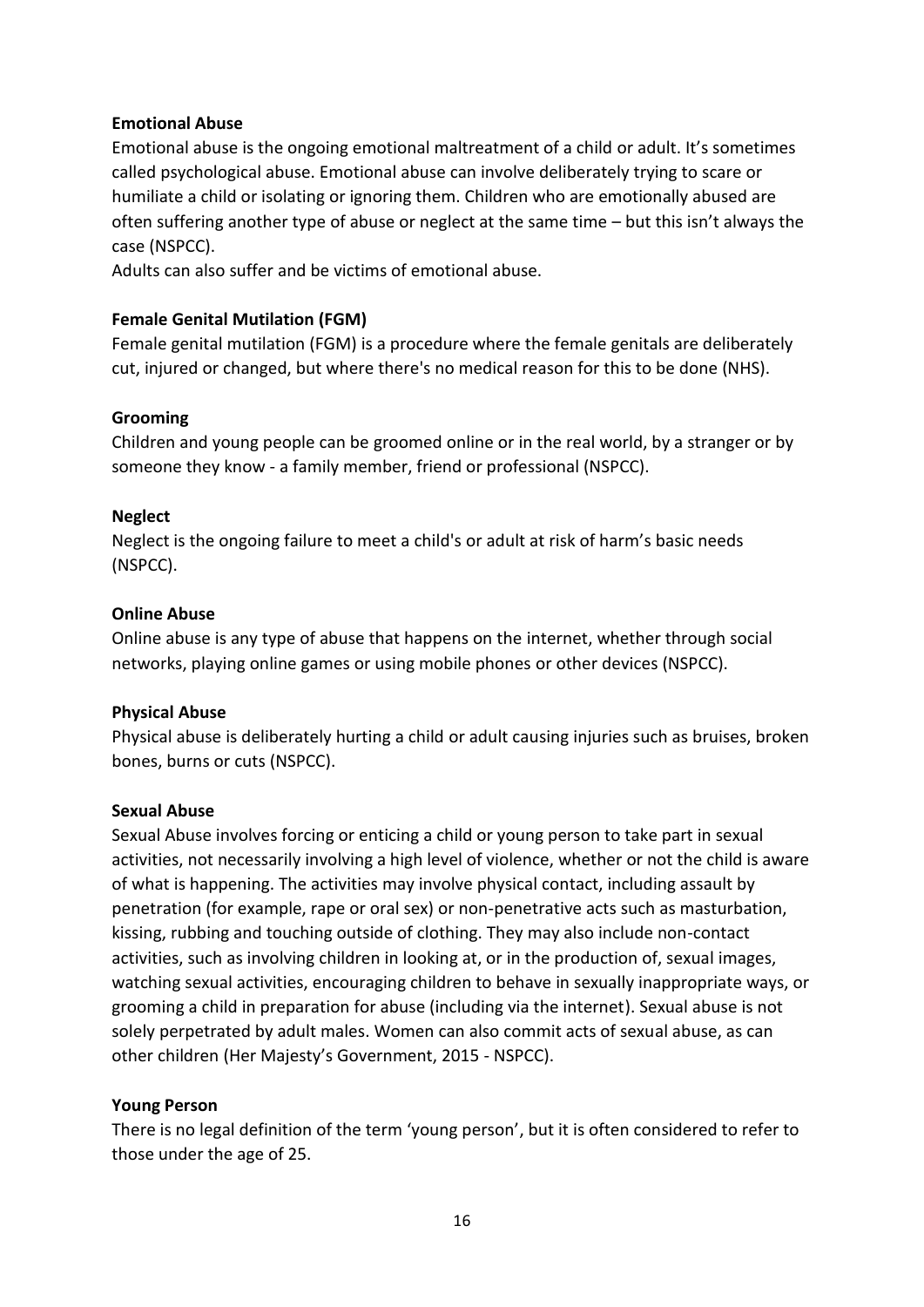#### **Emotional Abuse**

Emotional abuse is the ongoing emotional maltreatment of a child or adult. It's sometimes called psychological abuse. Emotional abuse can involve deliberately trying to scare or humiliate a child or isolating or ignoring them. Children who are emotionally abused are often suffering another type of abuse or neglect at the same time – but this isn't always the case (NSPCC).

Adults can also suffer and be victims of emotional abuse.

#### **Female Genital Mutilation (FGM)**

Female genital mutilation (FGM) is a procedure where the female genitals are deliberately cut, injured or changed, but where there's no medical reason for this to be done (NHS).

#### **Grooming**

Children and young people can be groomed online or in the real world, by a stranger or by someone they know - a family member, friend or professional (NSPCC).

#### **Neglect**

Neglect is the ongoing failure to meet a child's or adult at risk of harm's basic needs (NSPCC).

#### **Online Abuse**

Online abuse is any type of abuse that happens on the internet, whether through social networks, playing online games or using mobile phones or other devices (NSPCC).

#### **Physical Abuse**

Physical abuse is deliberately hurting a child or adult causing injuries such as bruises, broken bones, burns or cuts (NSPCC).

#### **Sexual Abuse**

Sexual Abuse involves forcing or enticing a child or young person to take part in sexual activities, not necessarily involving a high level of violence, whether or not the child is aware of what is happening. The activities may involve physical contact, including assault by penetration (for example, rape or oral sex) or non-penetrative acts such as masturbation, kissing, rubbing and touching outside of clothing. They may also include non-contact activities, such as involving children in looking at, or in the production of, sexual images, watching sexual activities, encouraging children to behave in sexually inappropriate ways, or grooming a child in preparation for abuse (including via the internet). Sexual abuse is not solely perpetrated by adult males. Women can also commit acts of sexual abuse, as can other children (Her Majesty's Government, 2015 - NSPCC).

#### **Young Person**

There is no legal definition of the term 'young person', but it is often considered to refer to those under the age of 25.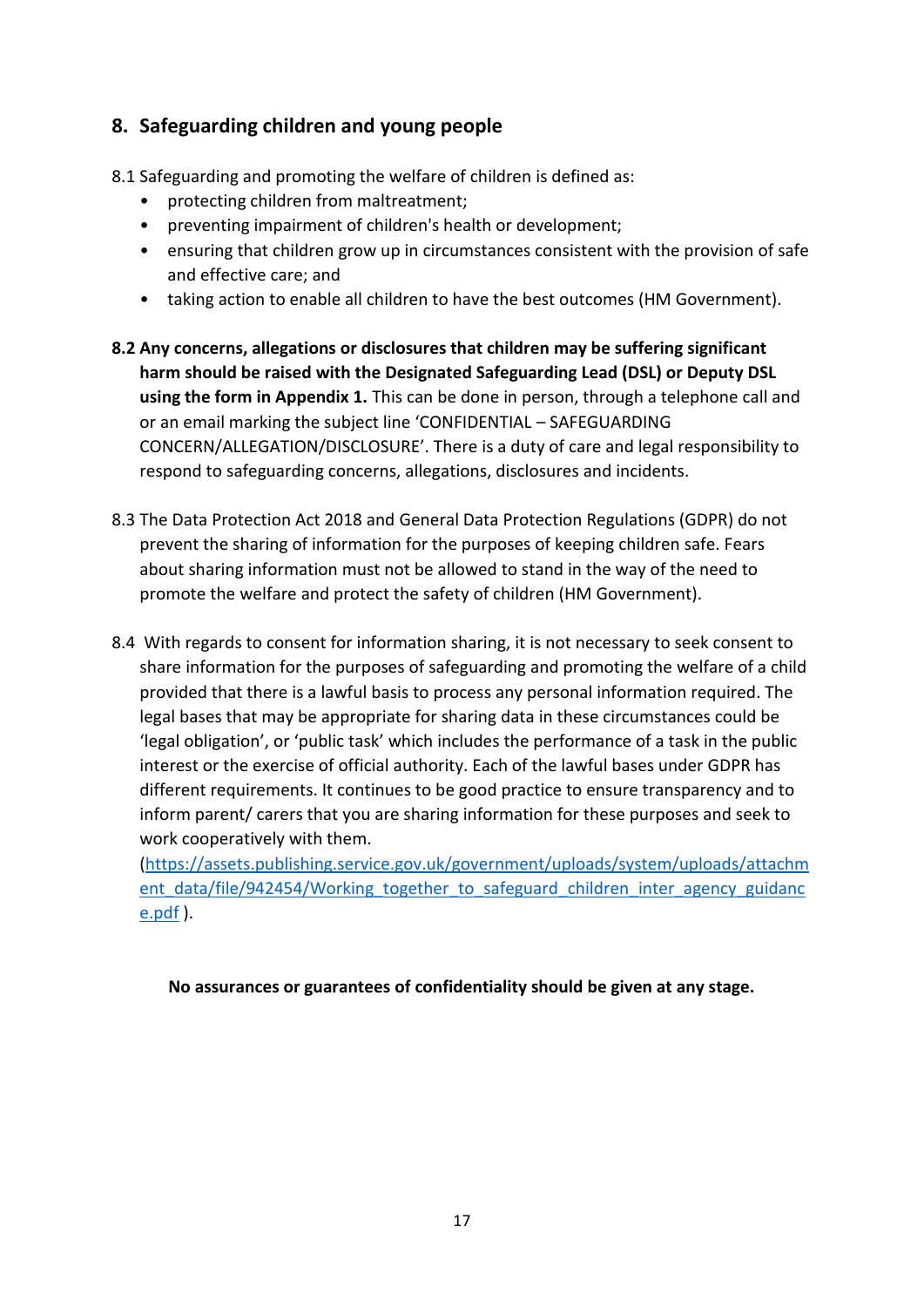## **8. Safeguarding children and young people**

8.1 Safeguarding and promoting the welfare of children is defined as:

- protecting children from maltreatment;
- preventing impairment of children's health or development;
- ensuring that children grow up in circumstances consistent with the provision of safe and effective care; and
- taking action to enable all children to have the best outcomes (HM Government).
- **8.2 Any concerns, allegations or disclosures that children may be suffering significant harm should be raised with the Designated Safeguarding Lead (DSL) or Deputy DSL using the form in Appendix 1.** This can be done in person, through a telephone call and or an email marking the subject line 'CONFIDENTIAL – SAFEGUARDING CONCERN/ALLEGATION/DISCLOSURE'. There is a duty of care and legal responsibility to respond to safeguarding concerns, allegations, disclosures and incidents.
- 8.3 The Data Protection Act 2018 and General Data Protection Regulations (GDPR) do not prevent the sharing of information for the purposes of keeping children safe. Fears about sharing information must not be allowed to stand in the way of the need to promote the welfare and protect the safety of children (HM Government).
- 8.4 With regards to consent for information sharing, it is not necessary to seek consent to share information for the purposes of safeguarding and promoting the welfare of a child provided that there is a lawful basis to process any personal information required. The legal bases that may be appropriate for sharing data in these circumstances could be 'legal obligation', or 'public task' which includes the performance of a task in the public interest or the exercise of official authority. Each of the lawful bases under GDPR has different requirements. It continues to be good practice to ensure transparency and to inform parent/ carers that you are sharing information for these purposes and seek to work cooperatively with them.

[\(https://assets.publishing.service.gov.uk/government/uploads/system/uploads/attachm](https://assets.publishing.service.gov.uk/government/uploads/system/uploads/attachment_data/file/942454/Working_together_to_safeguard_children_inter_agency_guidance.pdf) ent data/file/942454/Working together to safeguard children inter agency guidanc [e.pdf](https://assets.publishing.service.gov.uk/government/uploads/system/uploads/attachment_data/file/942454/Working_together_to_safeguard_children_inter_agency_guidance.pdf) ).

**No assurances or guarantees of confidentiality should be given at any stage.**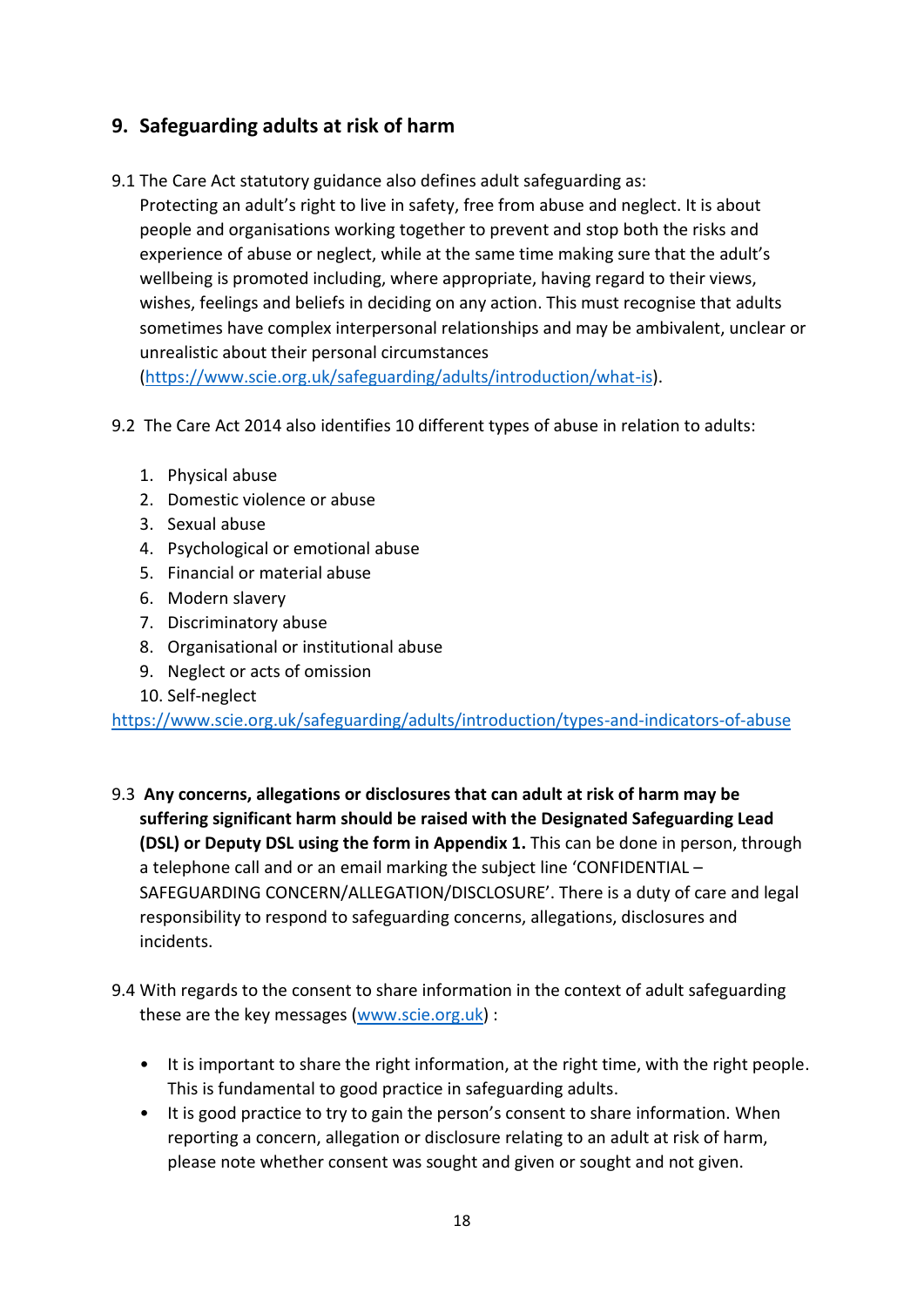## **9. Safeguarding adults at risk of harm**

9.1 The Care Act statutory guidance also defines adult safeguarding as:

Protecting an adult's right to live in safety, free from abuse and neglect. It is about people and organisations working together to prevent and stop both the risks and experience of abuse or neglect, while at the same time making sure that the adult's wellbeing is promoted including, where appropriate, having regard to their views, wishes, feelings and beliefs in deciding on any action. This must recognise that adults sometimes have complex interpersonal relationships and may be ambivalent, unclear or unrealistic about their personal circumstances

[\(https://www.scie.org.uk/safeguarding/adults/introduction/what-is\)](https://www.scie.org.uk/safeguarding/adults/introduction/what-is).

- 9.2 The Care Act 2014 also identifies 10 different types of abuse in relation to adults:
	- 1. Physical abuse
	- 2. Domestic violence or abuse
	- 3. Sexual abuse
	- 4. Psychological or emotional abuse
	- 5. Financial or material abuse
	- 6. Modern slavery
	- 7. Discriminatory abuse
	- 8. Organisational or institutional abuse
	- 9. Neglect or acts of omission
	- 10. Self-neglect

<https://www.scie.org.uk/safeguarding/adults/introduction/types-and-indicators-of-abuse>

- 9.3 **Any concerns, allegations or disclosures that can adult at risk of harm may be suffering significant harm should be raised with the Designated Safeguarding Lead (DSL) or Deputy DSL using the form in Appendix 1.** This can be done in person, through a telephone call and or an email marking the subject line 'CONFIDENTIAL – SAFEGUARDING CONCERN/ALLEGATION/DISCLOSURE'. There is a duty of care and legal responsibility to respond to safeguarding concerns, allegations, disclosures and incidents.
- 9.4 With regards to the consent to share information in the context of adult safeguarding these are the key messages [\(www.scie.org.uk\)](http://www.scie.org.uk/) :
	- It is important to share the right information, at the right time, with the right people. This is fundamental to good practice in safeguarding adults.
	- It is good practice to try to gain the person's consent to share information. When reporting a concern, allegation or disclosure relating to an adult at risk of harm, please note whether consent was sought and given or sought and not given.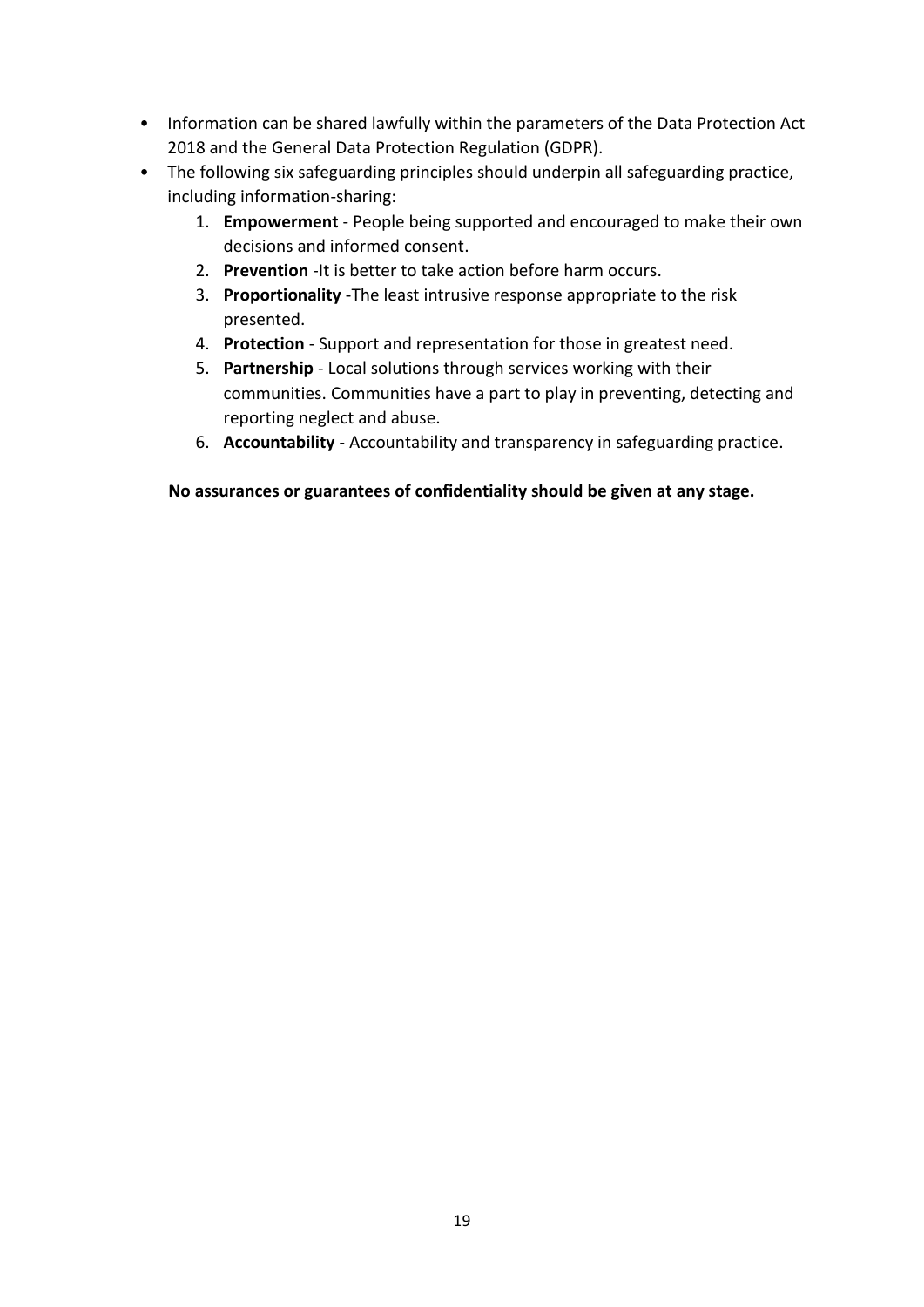- Information can be shared lawfully within the parameters of the Data Protection Act 2018 and the General Data Protection Regulation (GDPR).
- The following six safeguarding principles should underpin all safeguarding practice, including information-sharing:
	- 1. **Empowerment** People being supported and encouraged to make their own decisions and informed consent.
	- 2. **Prevention** -It is better to take action before harm occurs.
	- 3. **Proportionality** -The least intrusive response appropriate to the risk presented.
	- 4. **Protection** Support and representation for those in greatest need.
	- 5. **Partnership** Local solutions through services working with their communities. Communities have a part to play in preventing, detecting and reporting neglect and abuse.
	- 6. **Accountability**  Accountability and transparency in safeguarding practice.

**No assurances or guarantees of confidentiality should be given at any stage.**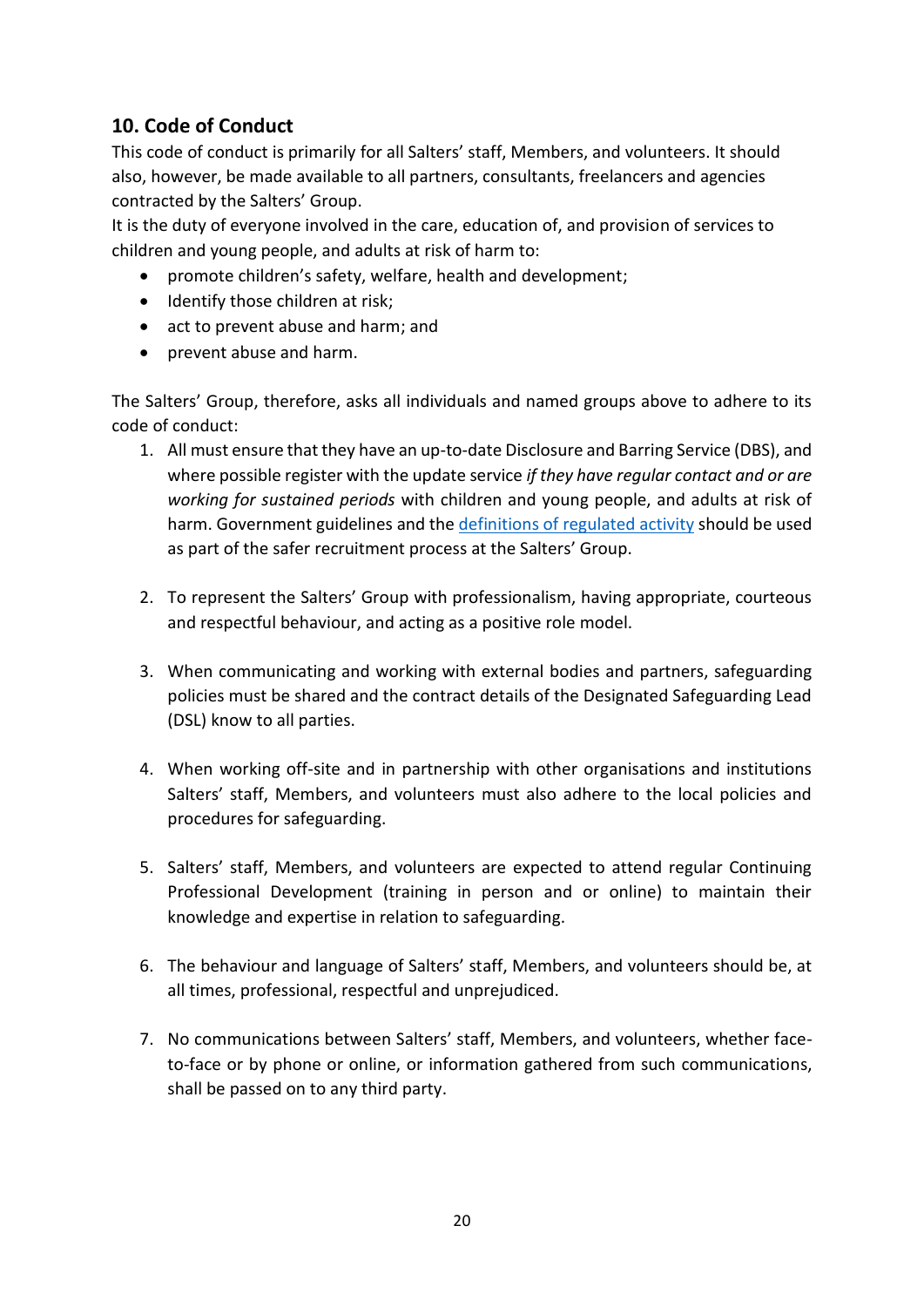## **10. Code of Conduct**

This code of conduct is primarily for all Salters' staff, Members, and volunteers. It should also, however, be made available to all partners, consultants, freelancers and agencies contracted by the Salters' Group.

It is the duty of everyone involved in the care, education of, and provision of services to children and young people, and adults at risk of harm to:

- promote children's safety, welfare, health and development;
- Identify those children at risk;
- act to prevent abuse and harm; and
- prevent abuse and harm.

The Salters' Group, therefore, asks all individuals and named groups above to adhere to its code of conduct:

- 1. All must ensure that they have an up-to-date Disclosure and Barring Service (DBS), and where possible register with the update service *if they have regular contact and or are working for sustained periods* with children and young people, and adults at risk of harm. Government guidelines and the [definitions of regulated activity](https://www.gov.uk/government/publications/dbs-workforce-guidance) should be used as part of the safer recruitment process at the Salters' Group.
- 2. To represent the Salters' Group with professionalism, having appropriate, courteous and respectful behaviour, and acting as a positive role model.
- 3. When communicating and working with external bodies and partners, safeguarding policies must be shared and the contract details of the Designated Safeguarding Lead (DSL) know to all parties.
- 4. When working off-site and in partnership with other organisations and institutions Salters' staff, Members, and volunteers must also adhere to the local policies and procedures for safeguarding.
- 5. Salters' staff, Members, and volunteers are expected to attend regular Continuing Professional Development (training in person and or online) to maintain their knowledge and expertise in relation to safeguarding.
- 6. The behaviour and language of Salters' staff, Members, and volunteers should be, at all times, professional, respectful and unprejudiced.
- 7. No communications between Salters' staff, Members, and volunteers, whether faceto-face or by phone or online, or information gathered from such communications, shall be passed on to any third party.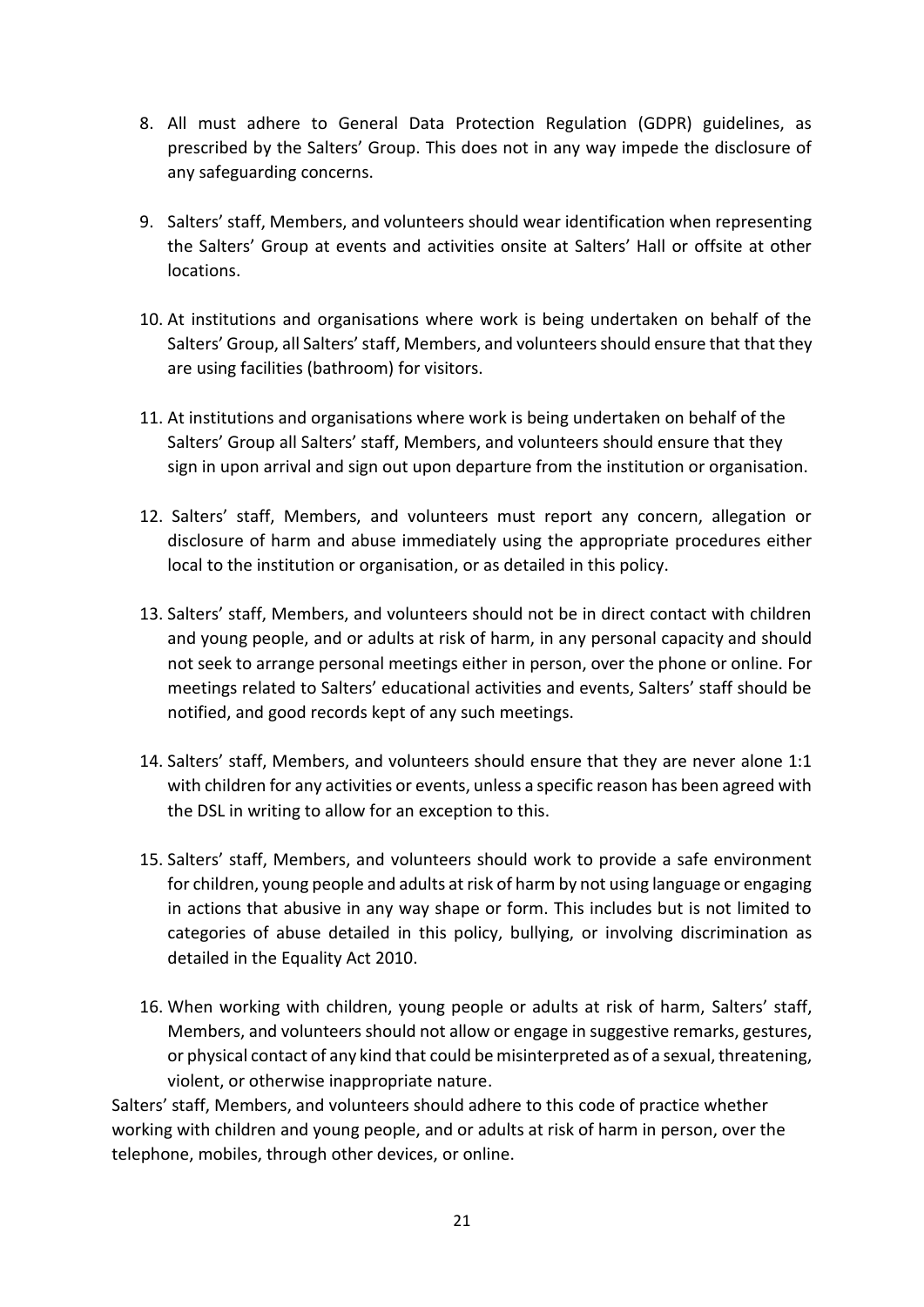- 8. All must adhere to General Data Protection Regulation (GDPR) guidelines, as prescribed by the Salters' Group. This does not in any way impede the disclosure of any safeguarding concerns.
- 9. Salters' staff, Members, and volunteers should wear identification when representing the Salters' Group at events and activities onsite at Salters' Hall or offsite at other locations.
- 10. At institutions and organisations where work is being undertaken on behalf of the Salters' Group, all Salters' staff, Members, and volunteers should ensure that that they are using facilities (bathroom) for visitors.
- 11. At institutions and organisations where work is being undertaken on behalf of the Salters' Group all Salters' staff, Members, and volunteers should ensure that they sign in upon arrival and sign out upon departure from the institution or organisation.
- 12. Salters' staff, Members, and volunteers must report any concern, allegation or disclosure of harm and abuse immediately using the appropriate procedures either local to the institution or organisation, or as detailed in this policy.
- 13. Salters' staff, Members, and volunteers should not be in direct contact with children and young people, and or adults at risk of harm, in any personal capacity and should not seek to arrange personal meetings either in person, over the phone or online. For meetings related to Salters' educational activities and events, Salters' staff should be notified, and good records kept of any such meetings.
- 14. Salters' staff, Members, and volunteers should ensure that they are never alone 1:1 with children for any activities or events, unless a specific reason has been agreed with the DSL in writing to allow for an exception to this.
- 15. Salters' staff, Members, and volunteers should work to provide a safe environment for children, young people and adults at risk of harm by not using language or engaging in actions that abusive in any way shape or form. This includes but is not limited to categories of abuse detailed in this policy, bullying, or involving discrimination as detailed in the Equality Act 2010.
- 16. When working with children, young people or adults at risk of harm, Salters' staff, Members, and volunteers should not allow or engage in suggestive remarks, gestures, or physical contact of any kind that could be misinterpreted as of a sexual, threatening, violent, or otherwise inappropriate nature.

Salters' staff, Members, and volunteers should adhere to this code of practice whether working with children and young people, and or adults at risk of harm in person, over the telephone, mobiles, through other devices, or online.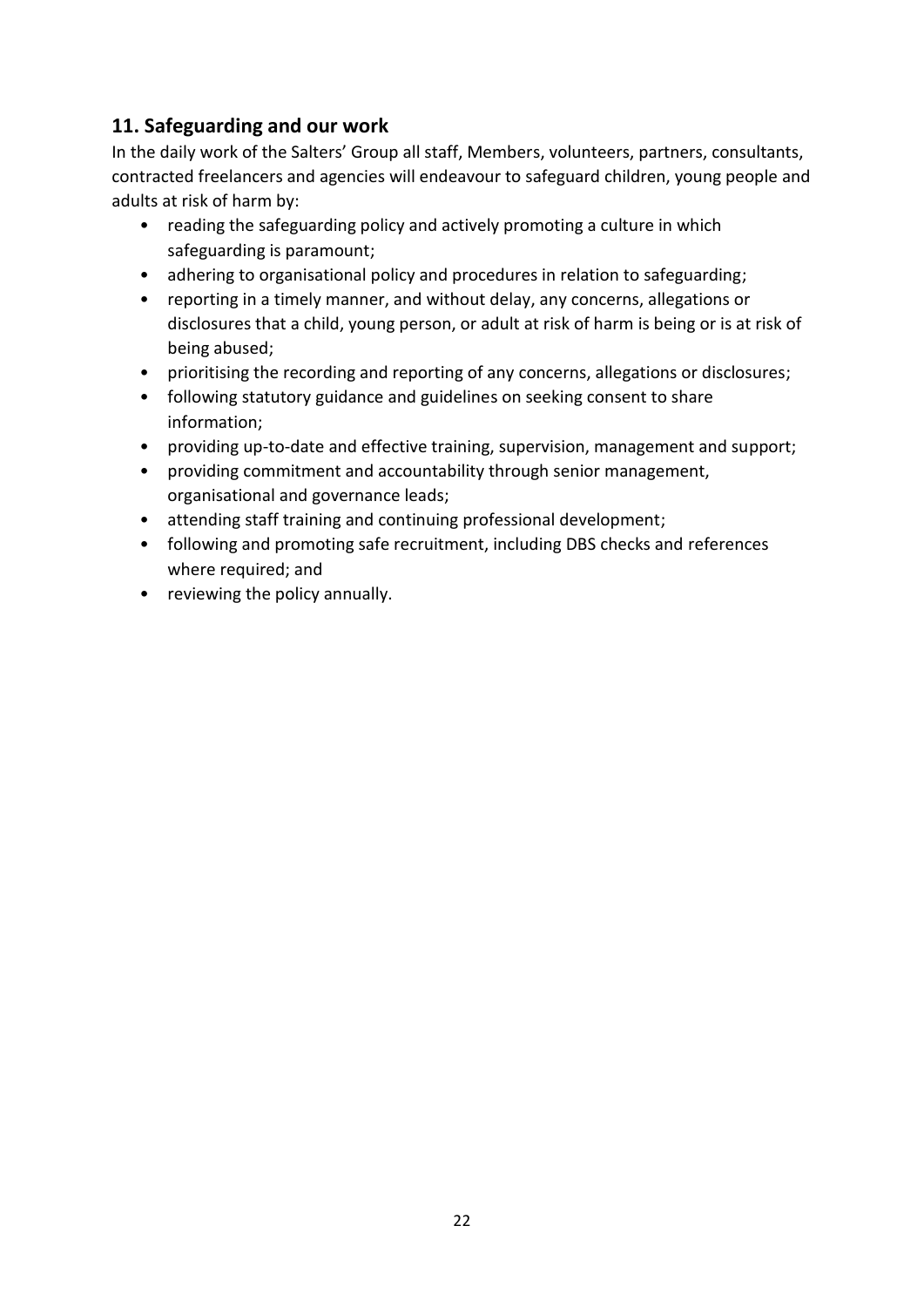## **11. Safeguarding and our work**

In the daily work of the Salters' Group all staff, Members, volunteers, partners, consultants, contracted freelancers and agencies will endeavour to safeguard children, young people and adults at risk of harm by:

- reading the safeguarding policy and actively promoting a culture in which safeguarding is paramount;
- adhering to organisational policy and procedures in relation to safeguarding;
- reporting in a timely manner, and without delay, any concerns, allegations or disclosures that a child, young person, or adult at risk of harm is being or is at risk of being abused;
- prioritising the recording and reporting of any concerns, allegations or disclosures;
- following statutory guidance and guidelines on seeking consent to share information;
- providing up-to-date and effective training, supervision, management and support;
- providing commitment and accountability through senior management, organisational and governance leads;
- attending staff training and continuing professional development;
- following and promoting safe recruitment, including DBS checks and references where required; and
- reviewing the policy annually.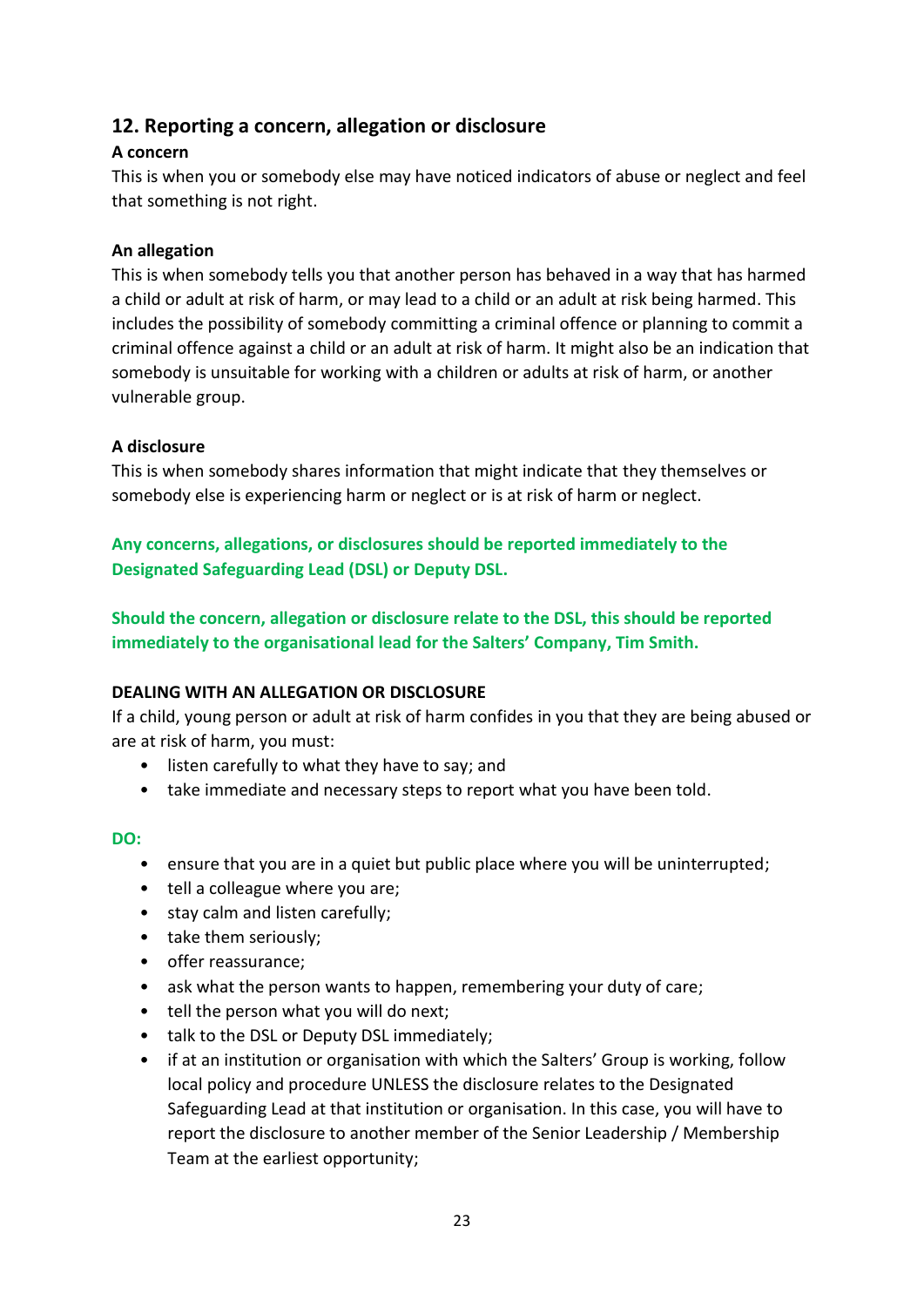## **12. Reporting a concern, allegation or disclosure**

#### **A concern**

This is when you or somebody else may have noticed indicators of abuse or neglect and feel that something is not right.

#### **An allegation**

This is when somebody tells you that another person has behaved in a way that has harmed a child or adult at risk of harm, or may lead to a child or an adult at risk being harmed. This includes the possibility of somebody committing a criminal offence or planning to commit a criminal offence against a child or an adult at risk of harm. It might also be an indication that somebody is unsuitable for working with a children or adults at risk of harm, or another vulnerable group.

#### **A disclosure**

This is when somebody shares information that might indicate that they themselves or somebody else is experiencing harm or neglect or is at risk of harm or neglect.

**Any concerns, allegations, or disclosures should be reported immediately to the Designated Safeguarding Lead (DSL) or Deputy DSL.** 

**Should the concern, allegation or disclosure relate to the DSL, this should be reported immediately to the organisational lead for the Salters' Company, Tim Smith.** 

#### **DEALING WITH AN ALLEGATION OR DISCLOSURE**

If a child, young person or adult at risk of harm confides in you that they are being abused or are at risk of harm, you must:

- listen carefully to what they have to say; and
- take immediate and necessary steps to report what you have been told.

#### **DO:**

- ensure that you are in a quiet but public place where you will be uninterrupted;
- tell a colleague where you are;
- stay calm and listen carefully;
- take them seriously;
- offer reassurance;
- ask what the person wants to happen, remembering your duty of care;
- tell the person what you will do next;
- talk to the DSL or Deputy DSL immediately;
- if at an institution or organisation with which the Salters' Group is working, follow local policy and procedure UNLESS the disclosure relates to the Designated Safeguarding Lead at that institution or organisation. In this case, you will have to report the disclosure to another member of the Senior Leadership / Membership Team at the earliest opportunity;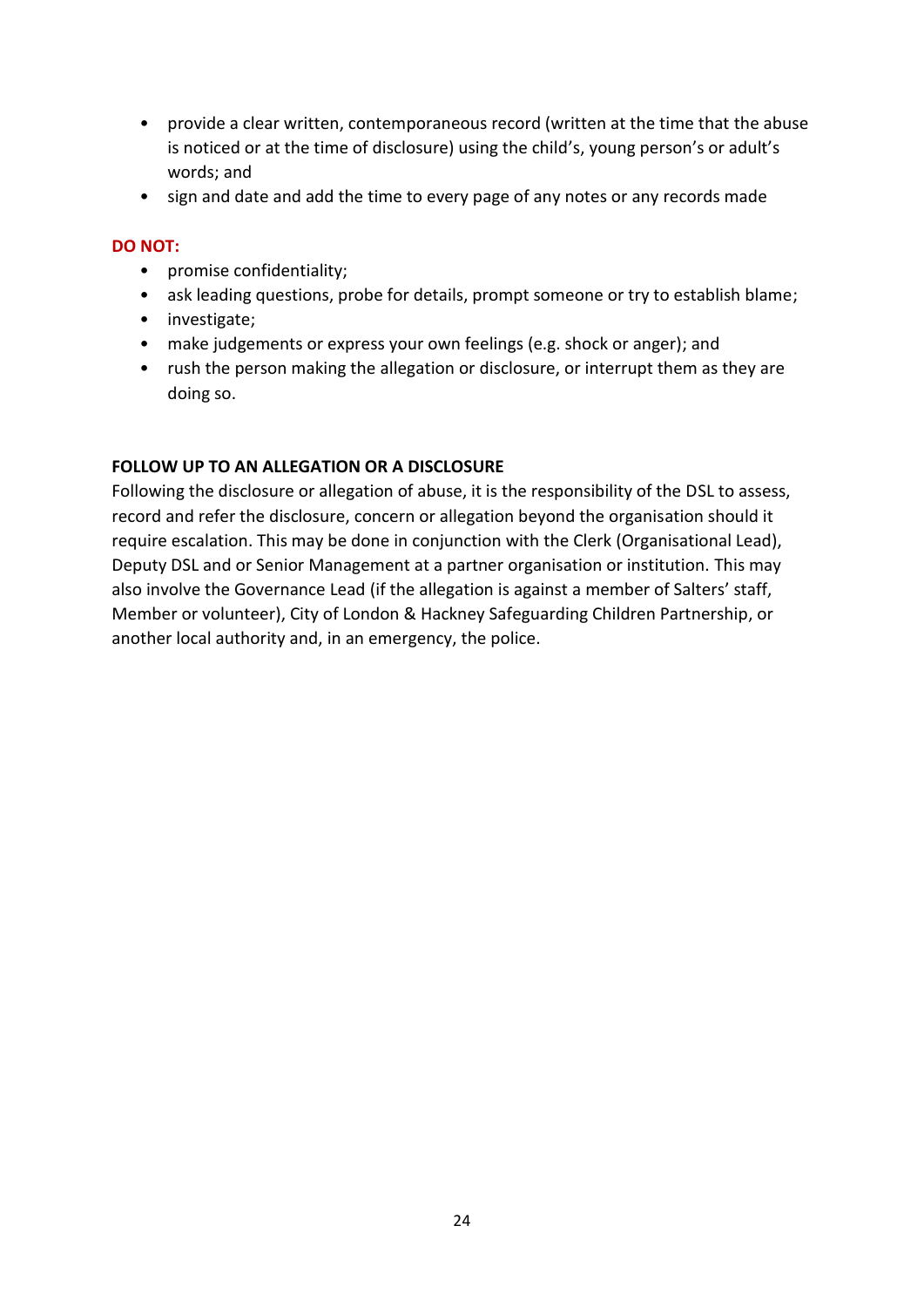- provide a clear written, contemporaneous record (written at the time that the abuse is noticed or at the time of disclosure) using the child's, young person's or adult's words; and
- sign and date and add the time to every page of any notes or any records made

#### **DO NOT:**

- promise confidentiality;
- ask leading questions, probe for details, prompt someone or try to establish blame;
- investigate;
- make judgements or express your own feelings (e.g. shock or anger); and
- rush the person making the allegation or disclosure, or interrupt them as they are doing so.

#### **FOLLOW UP TO AN ALLEGATION OR A DISCLOSURE**

Following the disclosure or allegation of abuse, it is the responsibility of the DSL to assess, record and refer the disclosure, concern or allegation beyond the organisation should it require escalation. This may be done in conjunction with the Clerk (Organisational Lead), Deputy DSL and or Senior Management at a partner organisation or institution. This may also involve the Governance Lead (if the allegation is against a member of Salters' staff, Member or volunteer), City of London & Hackney Safeguarding Children Partnership, or another local authority and, in an emergency, the police.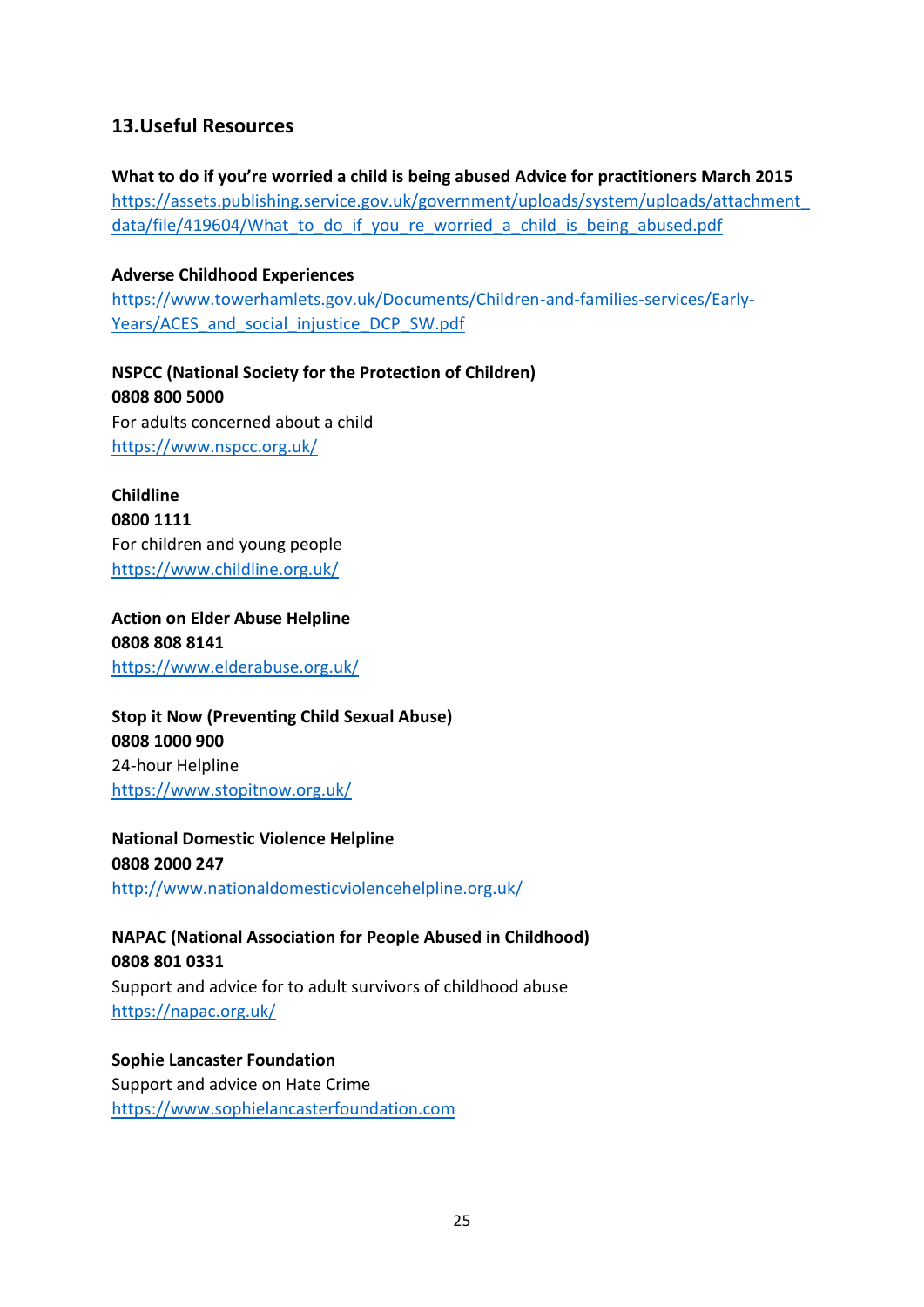## **13.Useful Resources**

**What to do if you're worried a child is being abused Advice for practitioners March 2015** [https://assets.publishing.service.gov.uk/government/uploads/system/uploads/attachment\\_](https://assets.publishing.service.gov.uk/government/uploads/system/uploads/attachment_data/file/419604/What_to_do_if_you_re_worried_a_child_is_being_abused.pdf) data/file/419604/What to do if you re worried a child is being abused.pdf

#### **Adverse Childhood Experiences**

[https://www.towerhamlets.gov.uk/Documents/Children-and-families-services/Early-](https://www.towerhamlets.gov.uk/Documents/Children-and-families-services/Early-Years/ACES_and_social_injustice_DCP_SW.pdf)Years/ACES and social injustice DCP SW.pdf

**NSPCC (National Society for the Protection of Children) 0808 800 5000** For adults concerned about a child <https://www.nspcc.org.uk/>

**Childline 0800 1111** For children and young people <https://www.childline.org.uk/>

**Action on Elder Abuse Helpline 0808 808 8141**  <https://www.elderabuse.org.uk/>

**Stop it Now (Preventing Child Sexual Abuse) 0808 1000 900** 24-hour Helpline <https://www.stopitnow.org.uk/>

**National Domestic Violence Helpline 0808 2000 247** <http://www.nationaldomesticviolencehelpline.org.uk/>

**NAPAC (National Association for People Abused in Childhood) 0808 801 0331** 

Support and advice for to adult survivors of childhood abuse <https://napac.org.uk/>

**Sophie Lancaster Foundation**  Support and advice on Hate Crime [https://www.sophielancasterfoundation.com](https://www.sophielancasterfoundation.com/)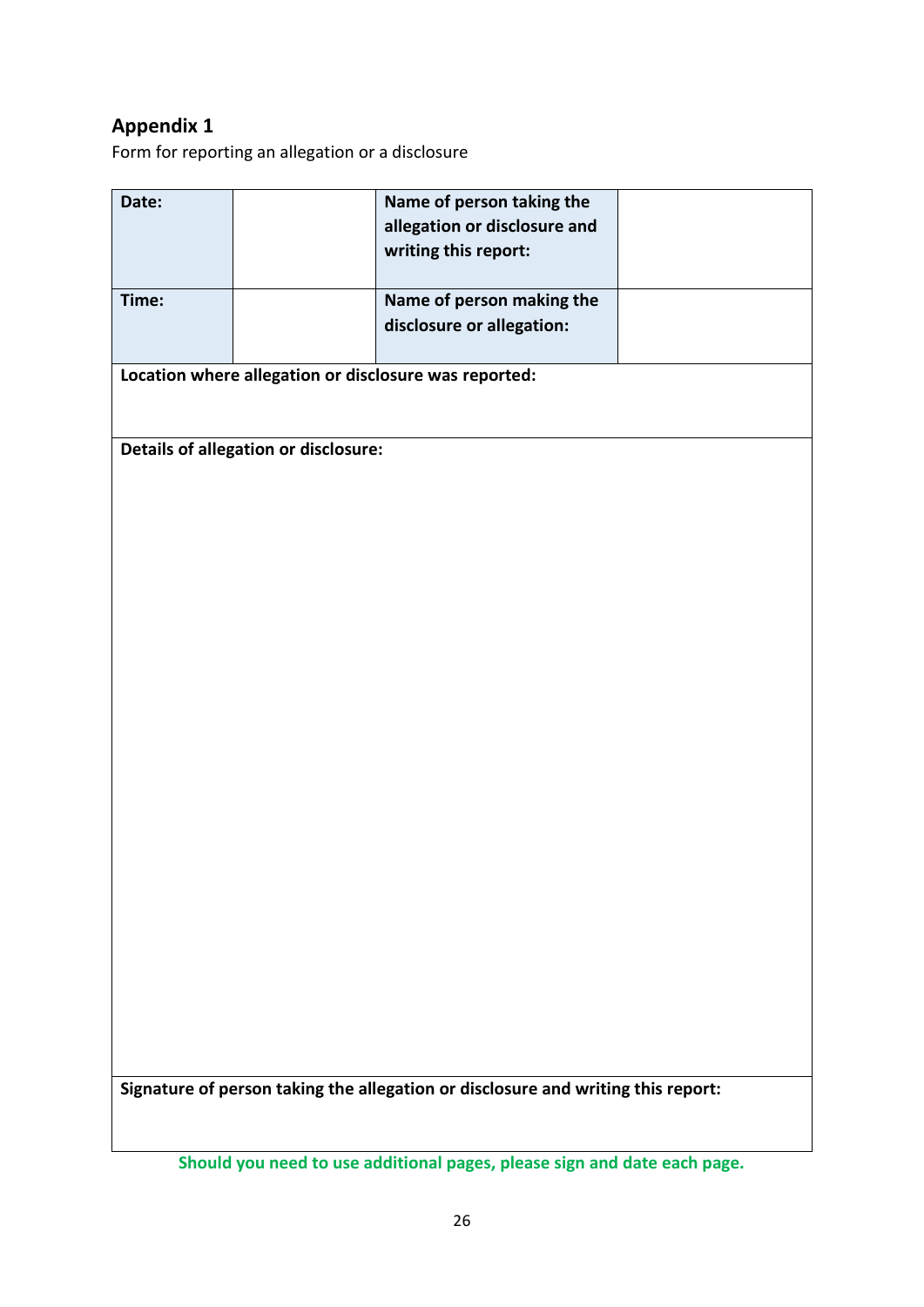# **Appendix 1**

Form for reporting an allegation or a disclosure

| Date:                                                                            |  | Name of person taking the    |  |
|----------------------------------------------------------------------------------|--|------------------------------|--|
|                                                                                  |  |                              |  |
|                                                                                  |  | allegation or disclosure and |  |
|                                                                                  |  | writing this report:         |  |
|                                                                                  |  |                              |  |
|                                                                                  |  |                              |  |
| Time:                                                                            |  | Name of person making the    |  |
|                                                                                  |  | disclosure or allegation:    |  |
|                                                                                  |  |                              |  |
|                                                                                  |  |                              |  |
| Location where allegation or disclosure was reported:                            |  |                              |  |
|                                                                                  |  |                              |  |
|                                                                                  |  |                              |  |
|                                                                                  |  |                              |  |
| Details of allegation or disclosure:                                             |  |                              |  |
|                                                                                  |  |                              |  |
|                                                                                  |  |                              |  |
|                                                                                  |  |                              |  |
|                                                                                  |  |                              |  |
|                                                                                  |  |                              |  |
|                                                                                  |  |                              |  |
|                                                                                  |  |                              |  |
|                                                                                  |  |                              |  |
|                                                                                  |  |                              |  |
|                                                                                  |  |                              |  |
|                                                                                  |  |                              |  |
|                                                                                  |  |                              |  |
|                                                                                  |  |                              |  |
|                                                                                  |  |                              |  |
|                                                                                  |  |                              |  |
|                                                                                  |  |                              |  |
|                                                                                  |  |                              |  |
|                                                                                  |  |                              |  |
|                                                                                  |  |                              |  |
|                                                                                  |  |                              |  |
|                                                                                  |  |                              |  |
|                                                                                  |  |                              |  |
|                                                                                  |  |                              |  |
|                                                                                  |  |                              |  |
|                                                                                  |  |                              |  |
|                                                                                  |  |                              |  |
|                                                                                  |  |                              |  |
|                                                                                  |  |                              |  |
|                                                                                  |  |                              |  |
|                                                                                  |  |                              |  |
|                                                                                  |  |                              |  |
|                                                                                  |  |                              |  |
|                                                                                  |  |                              |  |
|                                                                                  |  |                              |  |
|                                                                                  |  |                              |  |
| Signature of person taking the allegation or disclosure and writing this report: |  |                              |  |
|                                                                                  |  |                              |  |
|                                                                                  |  |                              |  |

**Should you need to use additional pages, please sign and date each page.**